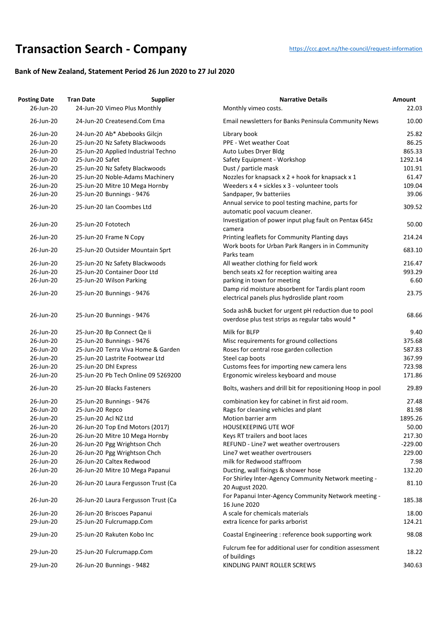## **Transaction Searc[h](https://ccc.govt.nz/the-council/request-information) - Company** https://ccc.govt.nz/the-council/request-information

## **Bank of New Zealand, Statement Period 26 Jun 2020 to 27 Jul 2020**

| <b>Posting Date</b> | <b>Tran Date</b>           | <b>Supplier</b>                     | <b>Narrative Details</b>                                                                                  | Amount    |
|---------------------|----------------------------|-------------------------------------|-----------------------------------------------------------------------------------------------------------|-----------|
| 26-Jun-20           |                            | 24-Jun-20 Vimeo Plus Monthly        | Monthly vimeo costs.                                                                                      | 22.03     |
| 26-Jun-20           |                            | 24-Jun-20 Createsend.Com Ema        | Email newsletters for Banks Peninsula Community News                                                      | 10.00     |
| 26-Jun-20           |                            | 24-Jun-20 Ab* Abebooks Gilcjn       | Library book                                                                                              | 25.82     |
| 26-Jun-20           |                            | 25-Jun-20 Nz Safety Blackwoods      | PPE - Wet weather Coat                                                                                    | 86.25     |
| 26-Jun-20           |                            | 25-Jun-20 Applied Industrial Techno | Auto Lubes Dryer Bldg                                                                                     | 865.33    |
| 26-Jun-20           | 25-Jun-20 Safet            |                                     | Safety Equipment - Workshop                                                                               | 1292.14   |
| 26-Jun-20           |                            | 25-Jun-20 Nz Safety Blackwoods      | Dust / particle mask                                                                                      | 101.91    |
| 26-Jun-20           |                            | 25-Jun-20 Noble-Adams Machinery     | Nozzles for knapsack x 2 + hook for knapsack x 1                                                          | 61.47     |
| 26-Jun-20           |                            | 25-Jun-20 Mitre 10 Mega Hornby      | Weeders x 4 + sickles x 3 - volunteer tools                                                               | 109.04    |
| 26-Jun-20           | 25-Jun-20 Bunnings - 9476  |                                     | Sandpaper, 9v batteriies                                                                                  | 39.06     |
| 26-Jun-20           | 25-Jun-20 Ian Coombes Ltd  |                                     | Annual service to pool testing machine, parts for<br>automatic pool vacuum cleaner.                       | 309.52    |
| 26-Jun-20           | 25-Jun-20 Fototech         |                                     | Investigation of power input plug fault on Pentax 645z<br>camera                                          | 50.00     |
| 26-Jun-20           | 25-Jun-20 Frame N Copy     |                                     | Printing leaflets for Community Planting days                                                             | 214.24    |
| 26-Jun-20           |                            | 25-Jun-20 Outsider Mountain Sprt    | Work boots for Urban Park Rangers in in Community<br>Parks team                                           | 683.10    |
| 26-Jun-20           |                            | 25-Jun-20 Nz Safety Blackwoods      | All weather clothing for field work                                                                       | 216.47    |
| 26-Jun-20           |                            | 25-Jun-20 Container Door Ltd        | bench seats x2 for reception waiting area                                                                 | 993.29    |
| 26-Jun-20           | 25-Jun-20 Wilson Parking   |                                     | parking in town for meeting                                                                               | 6.60      |
| 26-Jun-20           | 25-Jun-20 Bunnings - 9476  |                                     | Damp rid moisture absorbent for Tardis plant room<br>electrical panels plus hydroslide plant room         | 23.75     |
| 26-Jun-20           | 25-Jun-20 Bunnings - 9476  |                                     | Soda ash& bucket for urgent pH reduction due to pool<br>overdose plus test strips as regular tabs would * | 68.66     |
| 26-Jun-20           | 25-Jun-20 Bp Connect Qe li |                                     | Milk for BLFP                                                                                             | 9.40      |
| 26-Jun-20           | 25-Jun-20 Bunnings - 9476  |                                     | Misc requirements for ground collections                                                                  | 375.68    |
| 26-Jun-20           |                            | 25-Jun-20 Terra Viva Home & Garden  | Roses for central rose garden collection                                                                  | 587.83    |
| 26-Jun-20           |                            | 25-Jun-20 Lastrite Footwear Ltd     | Steel cap boots                                                                                           | 367.99    |
| 26-Jun-20           | 25-Jun-20 Dhl Express      |                                     | Customs fees for importing new camera lens                                                                | 723.98    |
| 26-Jun-20           |                            | 25-Jun-20 Pb Tech Online 09 5269200 | Ergonomic wireless keyboard and mouse                                                                     | 171.86    |
| 26-Jun-20           | 25-Jun-20 Blacks Fasteners |                                     | Bolts, washers and drill bit for repositioning Hoop in pool                                               | 29.89     |
| 26-Jun-20           | 25-Jun-20 Bunnings - 9476  |                                     | combination key for cabinet in first aid room.                                                            | 27.48     |
| 26-Jun-20           | 25-Jun-20 Repco            |                                     | Rags for cleaning vehicles and plant                                                                      | 81.98     |
| 26-Jun-20           | 25-Jun-20 Acl NZ Ltd       |                                     | Motion barrier arm                                                                                        | 1895.26   |
| 26-Jun-20           |                            | 26-Jun-20 Top End Motors (2017)     | <b>HOUSEKEEPING UTE WOF</b>                                                                               | 50.00     |
| 26-Jun-20           |                            | 26-Jun-20 Mitre 10 Mega Hornby      | Keys RT trailers and boot laces                                                                           | 217.30    |
| 26-Jun-20           |                            | 26-Jun-20 Pgg Wrightson Chch        | REFUND - Line7 wet weather overtrousers                                                                   | $-229.00$ |
| 26-Jun-20           |                            | 26-Jun-20 Pgg Wrightson Chch        | Line7 wet weather overtrousers                                                                            | 229.00    |
| 26-Jun-20           | 26-Jun-20 Caltex Redwood   |                                     | milk for Redwood staffroom                                                                                | 7.98      |
| 26-Jun-20           |                            | 26-Jun-20 Mitre 10 Mega Papanui     | Ducting, wall fixings & shower hose                                                                       | 132.20    |
| 26-Jun-20           |                            | 26-Jun-20 Laura Fergusson Trust (Ca | For Shirley Inter-Agency Community Network meeting -<br>20 August 2020.                                   | 81.10     |
| 26-Jun-20           |                            | 26-Jun-20 Laura Fergusson Trust (Ca | For Papanui Inter-Agency Community Network meeting -<br>16 June 2020                                      | 185.38    |
| 26-Jun-20           | 26-Jun-20 Briscoes Papanui |                                     | A scale for chemicals materials                                                                           | 18.00     |
| 29-Jun-20           | 25-Jun-20 Fulcrumapp.Com   |                                     | extra licence for parks arborist                                                                          | 124.21    |
| 29-Jun-20           |                            | 25-Jun-20 Rakuten Kobo Inc          | Coastal Engineering : reference book supporting work                                                      | 98.08     |
| 29-Jun-20           | 25-Jun-20 Fulcrumapp.Com   |                                     | Fulcrum fee for additional user for condition assessment                                                  | 18.22     |
| 29-Jun-20           | 26-Jun-20 Bunnings - 9482  |                                     | of buildings<br>KINDLING PAINT ROLLER SCREWS                                                              | 340.63    |
|                     |                            |                                     |                                                                                                           |           |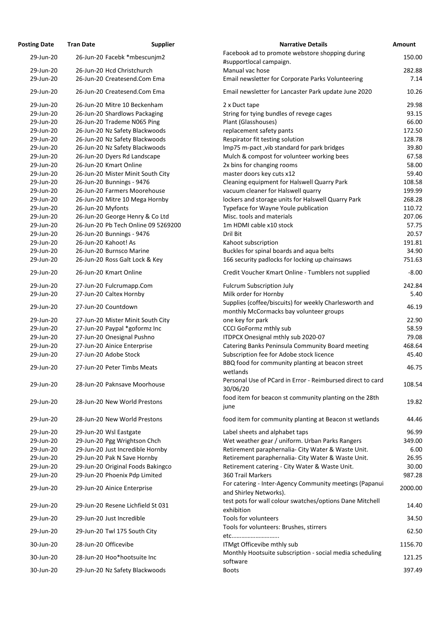| <b>Posting Date</b>    | <b>Tran Date</b>                                                 | <b>Supplier</b> | <b>Narrative Details</b>                                                                             | <b>Amount</b>  |
|------------------------|------------------------------------------------------------------|-----------------|------------------------------------------------------------------------------------------------------|----------------|
| 29-Jun-20              | 26-Jun-20 Facebk *mbescunjm2                                     |                 | Facebook ad to promote webstore shopping during<br>#supportlocal campaign.                           | 150.00         |
| 29-Jun-20              | 26-Jun-20 Hcd Christchurch                                       |                 | Manual vac hose                                                                                      | 282.88         |
| 29-Jun-20              | 26-Jun-20 Createsend.Com Ema                                     |                 | Email newsletter for Corporate Parks Volunteering                                                    | 7.14           |
| 29-Jun-20              | 26-Jun-20 Createsend.Com Ema                                     |                 | Email newsletter for Lancaster Park update June 2020                                                 | 10.26          |
| 29-Jun-20              | 26-Jun-20 Mitre 10 Beckenham                                     |                 | 2 x Duct tape                                                                                        | 29.98          |
| 29-Jun-20              | 26-Jun-20 Shardlows Packaging                                    |                 | String for tying bundles of revege cages                                                             | 93.15          |
| 29-Jun-20              | 26-Jun-20 Trademe N065 Ping                                      |                 | Plant (Glasshouses)                                                                                  | 66.00          |
| 29-Jun-20              | 26-Jun-20 Nz Safety Blackwoods                                   |                 | replacement safety pants                                                                             | 172.50         |
| 29-Jun-20              | 26-Jun-20 Nz Safety Blackwoods                                   |                 | Respirator fit testing solution                                                                      | 128.78         |
| 29-Jun-20              | 26-Jun-20 Nz Safety Blackwoods                                   |                 | Imp75 m-pact, vib standard for park bridges                                                          | 39.80          |
| 29-Jun-20              | 26-Jun-20 Dyers Rd Landscape                                     |                 | Mulch & compost for volunteer working bees                                                           | 67.58          |
| 29-Jun-20              | 26-Jun-20 Kmart Online                                           |                 | 2x bins for changing rooms                                                                           | 58.00          |
| 29-Jun-20              | 26-Jun-20 Mister Minit South City                                |                 | master doors key cuts x12                                                                            | 59.40          |
| 29-Jun-20              | 26-Jun-20 Bunnings - 9476                                        |                 | Cleaning equipment for Halswell Quarry Park                                                          | 108.58         |
| 29-Jun-20              | 26-Jun-20 Farmers Moorehouse                                     |                 | vacuum cleaner for Halswell quarry                                                                   | 199.99         |
| 29-Jun-20              | 26-Jun-20 Mitre 10 Mega Hornby                                   |                 | lockers and storage units for Halswell Quarry Park                                                   | 268.28         |
| 29-Jun-20              | 26-Jun-20 Myfonts                                                |                 | Typeface for Wayne Youle publication                                                                 | 110.72         |
| 29-Jun-20              | 26-Jun-20 George Henry & Co Ltd                                  |                 | Misc. tools and materials                                                                            | 207.06         |
| 29-Jun-20              | 26-Jun-20 Pb Tech Online 09 5269200                              |                 | 1m HDMI cable x10 stock                                                                              | 57.75          |
| 29-Jun-20              | 26-Jun-20 Bunnings - 9476                                        |                 | Dril Bit                                                                                             | 20.57          |
| 29-Jun-20              | 26-Jun-20 Kahoot! As                                             |                 | Kahoot subscription                                                                                  | 191.81         |
| 29-Jun-20              | 26-Jun-20 Burnsco Marine                                         |                 | Buckles for spinal boards and aqua belts                                                             | 34.90          |
| 29-Jun-20              | 26-Jun-20 Ross Galt Lock & Key                                   |                 | 166 security padlocks for locking up chainsaws                                                       | 751.63         |
| 29-Jun-20              | 26-Jun-20 Kmart Online                                           |                 | Credit Voucher Kmart Online - Tumblers not supplied                                                  | $-8.00$        |
| 29-Jun-20              | 27-Jun-20 Fulcrumapp.Com                                         |                 | <b>Fulcrum Subscription July</b>                                                                     | 242.84         |
| 29-Jun-20              | 27-Jun-20 Caltex Hornby                                          |                 | Milk order for Hornby<br>Supplies (coffee/biscuits) for weekly Charlesworth and                      | 5.40           |
| 29-Jun-20              | 27-Jun-20 Countdown                                              |                 | monthly McCormacks bay volunteer groups                                                              | 46.19          |
| 29-Jun-20              | 27-Jun-20 Mister Minit South City                                |                 | one key for park                                                                                     | 22.90          |
| 29-Jun-20              | 27-Jun-20 Paypal *goformz Inc                                    |                 | <b>CCCI GoFormz mthly sub</b>                                                                        | 58.59          |
| 29-Jun-20              | 27-Jun-20 Onesignal Pushno                                       |                 | ITDPCX Onesignal mthly sub 2020-07                                                                   | 79.08          |
| 29-Jun-20              | 27-Jun-20 Ainice Enterprise                                      |                 | Catering Banks Peninsula Community Board meeting                                                     | 468.64         |
| 29-Jun-20              | 27-Jun-20 Adobe Stock                                            |                 | Subscription fee for Adobe stock licence                                                             | 45.40          |
| 29-Jun-20              | 27-Jun-20 Peter Timbs Meats                                      |                 | BBQ food for community planting at beacon street<br>wetlands                                         | 46.75          |
| 29-Jun-20              | 28-Jun-20 Paknsave Moorhouse                                     |                 | Personal Use of PCard in Error - Reimbursed direct to card<br>30/06/20                               | 108.54         |
| 29-Jun-20              | 28-Jun-20 New World Prestons                                     |                 | food item for beacon st community planting on the 28th<br>june                                       | 19.82          |
| 29-Jun-20              | 28-Jun-20 New World Prestons                                     |                 | food item for community planting at Beacon st wetlands                                               | 44.46          |
|                        |                                                                  |                 |                                                                                                      |                |
| 29-Jun-20              | 29-Jun-20 Wsl Eastgate                                           |                 | Label sheets and alphabet taps                                                                       | 96.99          |
| 29-Jun-20              | 29-Jun-20 Pgg Wrightson Chch                                     |                 | Wet weather gear / uniform. Urban Parks Rangers                                                      | 349.00         |
| 29-Jun-20<br>29-Jun-20 | 29-Jun-20 Just Incredible Hornby                                 |                 | Retirement paraphernalia- City Water & Waste Unit.                                                   | 6.00           |
| 29-Jun-20              | 29-Jun-20 Pak N Save Hornby<br>29-Jun-20 Original Foods Bakingco |                 | Retirement paraphernalia- City Water & Waste Unit.<br>Retirement catering - City Water & Waste Unit. | 26.95<br>30.00 |
| 29-Jun-20              | 29-Jun-20 Phoenix Pdp Limited                                    |                 | 360 Trail Markers                                                                                    | 987.28         |
|                        |                                                                  |                 | For catering - Inter-Agency Community meetings (Papanui                                              |                |
| 29-Jun-20              | 29-Jun-20 Ainice Enterprise                                      |                 | and Shirley Networks).<br>test pots for wall colour swatches/options Dane Mitchell                   | 2000.00        |
| 29-Jun-20              | 29-Jun-20 Resene Lichfield St 031                                |                 | exhibition                                                                                           | 14.40          |
| 29-Jun-20              | 29-Jun-20 Just Incredible                                        |                 | Tools for volunteers                                                                                 | 34.50          |
| 29-Jun-20              | 29-Jun-20 Twl 175 South City                                     |                 | Tools for volunteers: Brushes, stirrers<br>etc                                                       | 62.50          |
| 30-Jun-20              | 28-Jun-20 Officevibe                                             |                 | ITMgt Officevibe mthly sub                                                                           | 1156.70        |
| 30-Jun-20              | 28-Jun-20 Hoo*hootsuite Inc                                      |                 | Monthly Hootsuite subscription - social media scheduling<br>software                                 | 121.25         |
| 30-Jun-20              | 29-Jun-20 Nz Safety Blackwoods                                   |                 | <b>Boots</b>                                                                                         | 397.49         |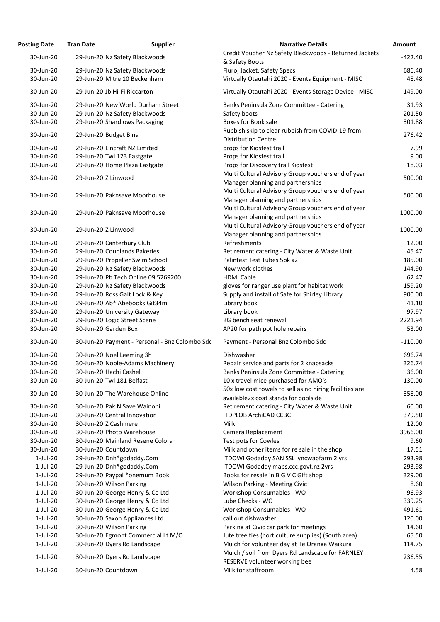| <b>Posting Date</b>    | <b>Tran Date</b>         | <b>Supplier</b>                                                       | <b>Narrative Details</b>                                       | Amount           |
|------------------------|--------------------------|-----------------------------------------------------------------------|----------------------------------------------------------------|------------------|
| 30-Jun-20              |                          | 29-Jun-20 Nz Safety Blackwoods                                        | Credit Voucher Nz Safety Blackwoods - Returned Jackets         | $-422.40$        |
|                        |                          |                                                                       | & Safety Boots                                                 |                  |
| 30-Jun-20              |                          | 29-Jun-20 Nz Safety Blackwoods                                        | Fluro, Jacket, Safety Specs                                    | 686.40           |
| 30-Jun-20              |                          | 29-Jun-20 Mitre 10 Beckenham                                          | Virtually Otautahi 2020 - Events Equipment - MISC              | 48.48            |
| 30-Jun-20              |                          | 29-Jun-20 Jb Hi-Fi Riccarton                                          | Virtually Otautahi 2020 - Events Storage Device - MISC         | 149.00           |
| 30-Jun-20              |                          | 29-Jun-20 New World Durham Street                                     | Banks Peninsula Zone Committee - Catering                      | 31.93            |
| 30-Jun-20              |                          | 29-Jun-20 Nz Safety Blackwoods                                        | Safety boots                                                   | 201.50           |
| 30-Jun-20              |                          | 29-Jun-20 Shardlows Packaging                                         | <b>Boxes for Book sale</b>                                     | 301.88           |
| 30-Jun-20              | 29-Jun-20 Budget Bins    |                                                                       | Rubbish skip to clear rubbish from COVID-19 from               | 276.42           |
| 30-Jun-20              |                          | 29-Jun-20 Lincraft NZ Limited                                         | <b>Distribution Centre</b><br>props for Kidsfest trail         | 7.99             |
| 30-Jun-20              |                          |                                                                       |                                                                | 9.00             |
| 30-Jun-20              |                          | 29-Jun-20 Twl 123 Eastgate<br>29-Jun-20 Home Plaza Eastgate           | Props for Kidsfest trail<br>Props for Discovery trail Kidsfest | 18.03            |
|                        |                          |                                                                       | Multi Cultural Advisory Group vouchers end of year             |                  |
| 30-Jun-20              | 29-Jun-20 Z Linwood      |                                                                       | Manager planning and partnerships                              | 500.00           |
|                        |                          |                                                                       | Multi Cultural Advisory Group vouchers end of year             |                  |
| 30-Jun-20              |                          | 29-Jun-20 Paknsave Moorhouse                                          | Manager planning and partnerships                              | 500.00           |
|                        |                          |                                                                       | Multi Cultural Advisory Group vouchers end of year             |                  |
| 30-Jun-20              |                          | 29-Jun-20 Paknsave Moorhouse                                          | Manager planning and partnerships                              | 1000.00          |
|                        |                          |                                                                       | Multi Cultural Advisory Group vouchers end of year             |                  |
| 30-Jun-20              | 29-Jun-20 Z Linwood      |                                                                       |                                                                | 1000.00          |
| 30-Jun-20              |                          |                                                                       | Manager planning and partnerships<br>Refreshments              | 12.00            |
|                        |                          | 29-Jun-20 Canterbury Club                                             |                                                                | 45.47            |
| 30-Jun-20<br>30-Jun-20 |                          | 29-Jun-20 Couplands Bakeries                                          | Retirement catering - City Water & Waste Unit.                 |                  |
| 30-Jun-20              |                          | 29-Jun-20 Propeller Swim School                                       | Palintest Test Tubes 5pk x2<br>New work clothes                | 185.00           |
| 30-Jun-20              |                          | 29-Jun-20 Nz Safety Blackwoods<br>29-Jun-20 Pb Tech Online 09 5269200 | <b>HDMI Cable</b>                                              | 144.90<br>62.47  |
| 30-Jun-20              |                          |                                                                       |                                                                | 159.20           |
|                        |                          | 29-Jun-20 Nz Safety Blackwoods                                        | gloves for ranger use plant for habitat work                   |                  |
| 30-Jun-20              |                          | 29-Jun-20 Ross Galt Lock & Key                                        | Supply and install of Safe for Shirley Library                 | 900.00           |
| 30-Jun-20              |                          | 29-Jun-20 Ab* Abebooks Git34m                                         | Library book                                                   | 41.10            |
| 30-Jun-20<br>30-Jun-20 |                          | 29-Jun-20 University Gateway<br>29-Jun-20 Logic Street Scene          | Library book<br>BG bench seat renewal                          | 97.97<br>2221.94 |
|                        | 30-Jun-20 Garden Box     |                                                                       |                                                                |                  |
| 30-Jun-20              |                          |                                                                       | AP20 for path pot hole repairs                                 | 53.00            |
| 30-Jun-20              |                          | 30-Jun-20 Payment - Personal - Bnz Colombo Sdc                        | Payment - Personal Bnz Colombo Sdc                             | $-110.00$        |
| 30-Jun-20              |                          | 30-Jun-20 Noel Leeming 3h                                             | Dishwasher                                                     | 696.74           |
| 30-Jun-20              |                          | 30-Jun-20 Noble-Adams Machinery                                       | Repair service and parts for 2 knapsacks                       | 326.74           |
| 30-Jun-20              | 30-Jun-20 Hachi Cashel   |                                                                       | Banks Peninsula Zone Committee - Catering                      | 36.00            |
| 30-Jun-20              |                          | 30-Jun-20 Twl 181 Belfast                                             | 10 x travel mice purchased for AMO's                           | 130.00           |
| 30-Jun-20              |                          | 30-Jun-20 The Warehouse Online                                        | 50x low cost towels to sell as no hiring facilities are        | 358.00           |
|                        |                          |                                                                       | available2x coat stands for poolside                           |                  |
| 30-Jun-20              |                          | 30-Jun-20 Pak N Save Wainoni                                          | Retirement catering - City Water & Waste Unit                  | 60.00            |
| 30-Jun-20              |                          | 30-Jun-20 Central Innovation                                          | <b>ITDPLOB ArchiCAD CCBC</b>                                   | 379.50           |
| 30-Jun-20              | 30-Jun-20 Z Cashmere     |                                                                       | <b>Milk</b>                                                    | 12.00            |
| 30-Jun-20              |                          | 30-Jun-20 Photo Warehouse                                             | Camera Replacement                                             | 3966.00          |
| 30-Jun-20              |                          | 30-Jun-20 Mainland Resene Colorsh                                     | Test pots for Cowles                                           | 9.60             |
| 30-Jun-20              | 30-Jun-20 Countdown      |                                                                       | Milk and other items for re sale in the shop                   | 17.51            |
| $1$ -Jul-20            |                          | 29-Jun-20 Dnh*godaddy.Com                                             | ITDOWI Godaddy SAN SSL lyncwapfarm 2 yrs                       | 293.98           |
| $1$ -Jul-20            |                          | 29-Jun-20 Dnh*godaddy.Com                                             | ITDOWI Godaddy maps.ccc.govt.nz 2yrs                           | 293.98           |
| $1$ -Jul-20            |                          | 29-Jun-20 Paypal *onemum Book                                         | Books for resale in B G V C Gift shop                          | 329.00           |
| $1$ -Jul-20            | 30-Jun-20 Wilson Parking |                                                                       | <b>Wilson Parking - Meeting Civic</b>                          | 8.60             |
| $1-Jul-20$             |                          | 30-Jun-20 George Henry & Co Ltd                                       | Workshop Consumables - WO                                      | 96.93            |
| $1$ -Jul-20            |                          | 30-Jun-20 George Henry & Co Ltd                                       | Lube Checks - WO                                               | 339.25           |
| $1-Jul-20$             |                          | 30-Jun-20 George Henry & Co Ltd                                       | Workshop Consumables - WO                                      | 491.61           |
| $1$ -Jul-20            |                          | 30-Jun-20 Saxon Appliances Ltd                                        | call out dishwasher                                            | 120.00           |
| $1-Jul-20$             | 30-Jun-20 Wilson Parking |                                                                       | Parking at Civic car park for meetings                         | 14.60            |
| $1$ -Jul-20            |                          | 30-Jun-20 Egmont Commercial Lt M/O                                    | Jute tree ties (horticulture supplies) (South area)            | 65.50            |
| $1-Jul-20$             |                          | 30-Jun-20 Dyers Rd Landscape                                          | Mulch for volunteer day at Te Oranga Waikura                   | 114.75           |
| $1$ -Jul-20            |                          | 30-Jun-20 Dyers Rd Landscape                                          | Mulch / soil from Dyers Rd Landscape for FARNLEY               | 236.55           |
| $1$ -Jul-20            | 30-Jun-20 Countdown      |                                                                       | RESERVE volunteer working bee<br>Milk for staffroom            | 4.58             |
|                        |                          |                                                                       |                                                                |                  |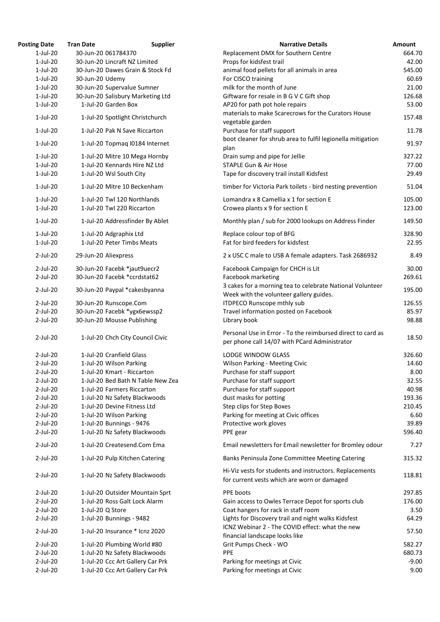| <b>Posting Date</b> | <b>Tran Date</b>     | <b>Supplier</b>                   | <b>Narrative Details</b>                                                                                     | Amount  |
|---------------------|----------------------|-----------------------------------|--------------------------------------------------------------------------------------------------------------|---------|
| $1$ -Jul-20         | 30-Jun-20 061784370  |                                   | Replacement DMX for Southern Centre                                                                          | 664.70  |
| $1$ -Jul-20         |                      | 30-Jun-20 Lincraft NZ Limited     | Props for kidsfest trail                                                                                     | 42.00   |
| $1$ -Jul-20         |                      | 30-Jun-20 Dawes Grain & Stock Fd  | animal food pellets for all animals in area                                                                  | 545.00  |
| $1-Jul-20$          | 30-Jun-20 Udemy      |                                   | For CISCO training                                                                                           | 60.69   |
| $1$ -Jul-20         |                      | 30-Jun-20 Supervalue Sumner       | milk for the month of June                                                                                   | 21.00   |
| $1$ -Jul-20         |                      | 30-Jun-20 Salisbury Marketing Ltd | Giftware for resale in B G V C Gift shop                                                                     | 126.68  |
| $1$ -Jul-20         |                      | 1-Jul-20 Garden Box               | AP20 for path pot hole repairs                                                                               | 53.00   |
| $1-Jul-20$          |                      | 1-Jul-20 Spotlight Christchurch   | materials to make Scarecrows for the Curators House                                                          | 157.48  |
| $1$ -Jul-20         |                      | 1-Jul-20 Pak N Save Riccarton     | vegetable garden<br>Purchase for staff support                                                               | 11.78   |
| $1-Jul-20$          |                      | 1-Jul-20 Topmaq I0184 Internet    | boot cleaner for shrub area to fulfil legionella mitigation                                                  | 91.97   |
| $1-Jul-20$          |                      | 1-Jul-20 Mitre 10 Mega Hornby     | plan<br>Drain sump and pipe for Jellie                                                                       | 327.22  |
| $1-Jul-20$          |                      | 1-Jul-20 Kennards Hire NZ Ltd     | <b>STAPLE Gun &amp; Air Hose</b>                                                                             | 77.00   |
| $1-Jul-20$          |                      | 1-Jul-20 Wsl South City           | Tape for discovery trail install Kidsfest                                                                    | 29.49   |
| $1-Jul-20$          |                      | 1-Jul-20 Mitre 10 Beckenham       | timber for Victoria Park toilets - bird nesting prevention                                                   | 51.04   |
| $1$ -Jul-20         |                      | 1-Jul-20 Twl 120 Northlands       | Lomandra x 8 Camellia x 1 for section E                                                                      | 105.00  |
| $1-Jul-20$          |                      | 1-Jul-20 Twl 220 Riccarton        | Crowea plants x 9 for section E                                                                              | 123.00  |
| $1$ -Jul-20         |                      | 1-Jul-20 Addressfinder By Ablet   | Monthly plan / sub for 2000 lookups on Address Finder                                                        | 149.50  |
| $1$ -Jul-20         |                      | 1-Jul-20 Adgraphix Ltd            | Replace colour top of BFG                                                                                    | 328.90  |
| $1-Jul-20$          |                      | 1-Jul-20 Peter Timbs Meats        | Fat for bird feeders for kidsfest                                                                            | 22.95   |
| $2$ -Jul-20         | 29-Jun-20 Aliexpress |                                   | 2 x USC C male to USB A female adapters. Task 2686932                                                        | 8.49    |
| $2$ -Jul-20         |                      | 30-Jun-20 Facebk *jaut9uecr2      | Facebook Campaign for CHCH is Lit                                                                            | 30.00   |
| $2$ -Jul-20         |                      | 30-Jun-20 Facebk *ccrdstat62      | Facebook marketing                                                                                           | 269.61  |
| $2$ -Jul-20         |                      | 30-Jun-20 Paypal *cakesbyanna     | 3 cakes for a morning tea to celebrate National Volunteer<br>Week with the volunteer gallery guides.         | 195.00  |
| $2$ -Jul-20         |                      | 30-Jun-20 Runscope.Com            | <b>ITDPECO Runscope mthly sub</b>                                                                            | 126.55  |
| $2$ -Jul-20         |                      | 30-Jun-20 Facebk *ygx6ewssp2      | Travel information posted on Facebook                                                                        | 85.97   |
| $2$ -Jul-20         |                      | 30-Jun-20 Mousse Publishing       | Library book                                                                                                 | 98.88   |
| $2$ -Jul-20         |                      | 1-Jul-20 Chch City Council Civic  | Personal Use in Error - To the reimbursed direct to card as<br>per phone call 14/07 with PCard Administrator | 18.50   |
| $2$ -Jul-20         |                      | 1-Jul-20 Cranfield Glass          | <b>LODGE WINDOW GLASS</b>                                                                                    | 326.60  |
| $2$ -Jul-20         |                      | 1-Jul-20 Wilson Parking           | Wilson Parking - Meeting Civic                                                                               | 14.60   |
| $2$ -Jul-20         |                      | 1-Jul-20 Kmart - Riccarton        | Purchase for staff support                                                                                   | 8.00    |
| $2$ -Jul-20         |                      | 1-Jul-20 Bed Bath N Table New Zea | Purchase for staff support                                                                                   | 32.55   |
| $2$ -Jul-20         |                      | 1-Jul-20 Farmers Riccarton        | Purchase for staff support                                                                                   | 40.98   |
| $2$ -Jul-20         |                      | 1-Jul-20 Nz Safety Blackwoods     | dust masks for potting                                                                                       | 193.36  |
| $2$ -Jul-20         |                      | 1-Jul-20 Devine Fitness Ltd       | Step clips for Step Boxes                                                                                    | 210.45  |
| $2$ -Jul-20         |                      | 1-Jul-20 Wilson Parking           | Parking for meeting at Civic offices                                                                         | 6.60    |
| $2$ -Jul-20         |                      | 1-Jul-20 Bunnings - 9476          | Protective work gloves                                                                                       | 39.89   |
| $2$ -Jul-20         |                      | 1-Jul-20 Nz Safety Blackwoods     | PPE gear                                                                                                     | 596.40  |
| $2$ -Jul-20         |                      | 1-Jul-20 Createsend.Com Ema       | Email newsletters for Email newsletter for Bromley odour                                                     | 7.27    |
| $2$ -Jul-20         |                      | 1-Jul-20 Pulp Kitchen Catering    | Banks Peninsula Zone Committee Meeting Catering                                                              | 315.32  |
| $2$ -Jul-20         |                      | 1-Jul-20 Nz Safety Blackwoods     | Hi-Viz vests for students and instructors. Replacements<br>for current vests which are worn or damaged       | 118.81  |
| $2$ -Jul-20         |                      | 1-Jul-20 Outsider Mountain Sprt   | PPE boots                                                                                                    | 297.85  |
| $2$ -Jul-20         |                      | 1-Jul-20 Ross Galt Lock Alarm     | Gain access to Owles Terrace Depot for sports club                                                           | 176.00  |
| $2$ -Jul-20         | 1-Jul-20 Q Store     |                                   | Coat hangers for rack in staff room                                                                          | 3.50    |
| $2$ -Jul-20         |                      | 1-Jul-20 Bunnings - 9482          | Lights for Discovery trail and night walks Kidsfest                                                          | 64.29   |
| $2$ -Jul-20         |                      | 1-Jul-20 Insurance * Icnz 2020    | ICNZ Webinar 2 - The COVID effect: what the new                                                              | 57.50   |
| $2$ -Jul-20         |                      | 1-Jul-20 Plumbing World #80       | financial landscape looks like<br>Grit Pumps Check - WO                                                      | 582.27  |
| 2-Jul-20            |                      |                                   | <b>PPE</b>                                                                                                   | 680.73  |
|                     |                      | 1-Jul-20 Nz Safety Blackwoods     |                                                                                                              |         |
| $2$ -Jul-20         |                      | 1-Jul-20 Ccc Art Gallery Car Prk  | Parking for meetings at Civic                                                                                | $-9.00$ |
| $2$ -Jul-20         |                      | 1-Jul-20 Ccc Art Gallery Car Prk  | Parking for meetings at Civic                                                                                | 9.00    |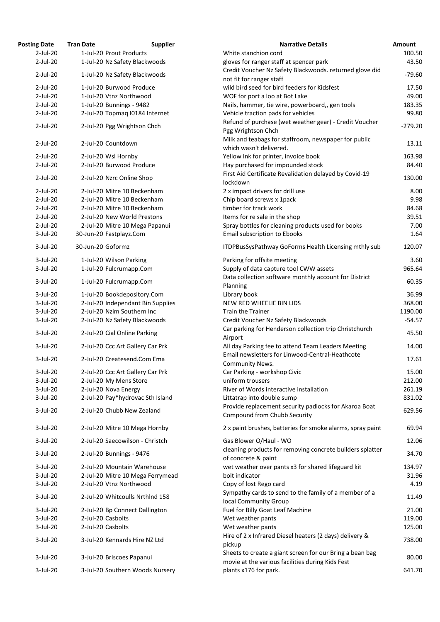| <b>Osting Date</b> | <b>Tran Date</b>  | <b>Supplier</b>                   | <b>Narrative Details</b>                                                                             |
|--------------------|-------------------|-----------------------------------|------------------------------------------------------------------------------------------------------|
| $2$ -Jul-20        |                   | 1-Jul-20 Prout Products           | White stanchion cord                                                                                 |
| $2$ -Jul-20        |                   | 1-Jul-20 Nz Safety Blackwoods     | gloves for ranger staff at spencer park                                                              |
| $2$ -Jul-20        |                   | 1-Jul-20 Nz Safety Blackwoods     | Credit Voucher Nz Safety Blackwoods. returned glo                                                    |
|                    |                   |                                   | not fit for ranger staff                                                                             |
| $2$ -Jul-20        |                   | 1-Jul-20 Burwood Produce          | wild bird seed for bird feeders for Kidsfest                                                         |
| $2$ -Jul-20        |                   | 1-Jul-20 Vtnz Northwood           | WOF for port a loo at Bot Lake                                                                       |
| $2$ -Jul-20        |                   | 1-Jul-20 Bunnings - 9482          | Nails, hammer, tie wire, powerboard,, gen tools                                                      |
| $2$ -Jul-20        |                   | 2-Jul-20 Topmaq I0184 Internet    | Vehicle traction pads for vehicles                                                                   |
| $2$ -Jul-20        |                   | 2-Jul-20 Pgg Wrightson Chch       | Refund of purchase (wet weather gear) - Credit Vo<br>Pgg Wrightson Chch                              |
| $2$ -Jul-20        |                   | 2-Jul-20 Countdown                | Milk and teabags for staffroom, newspaper for pu<br>which wasn't delivered.                          |
| $2$ -Jul-20        |                   | 2-Jul-20 Wsl Hornby               | Yellow Ink for printer, invoice book                                                                 |
| $2$ -Jul-20        |                   | 2-Jul-20 Burwood Produce          | Hay purchased for impounded stock                                                                    |
| $2$ -Jul-20        |                   | 2-Jul-20 Nzrc Online Shop         | First Aid Certificate Revalidation delayed by Covid<br>lockdown                                      |
| $2$ -Jul-20        |                   | 2-Jul-20 Mitre 10 Beckenham       | 2 x impact drivers for drill use                                                                     |
| $2$ -Jul-20        |                   | 2-Jul-20 Mitre 10 Beckenham       | Chip board screws x 1pack                                                                            |
| $2$ -Jul-20        |                   | 2-Jul-20 Mitre 10 Beckenham       | timber for track work                                                                                |
| $2$ -Jul-20        |                   | 2-Jul-20 New World Prestons       | Items for re sale in the shop                                                                        |
| $2$ -Jul-20        |                   | 2-Jul-20 Mitre 10 Mega Papanui    | Spray bottles for cleaning products used for books                                                   |
| $3$ -Jul-20        |                   | 30-Jun-20 Fastplayz.Com           | <b>Email subscription to Ebooks</b>                                                                  |
| $3$ -Jul-20        | 30-Jun-20 Goformz |                                   | ITDPBusSysPathway GoForms Health Licensing mt                                                        |
| $3$ -Jul-20        |                   | 1-Jul-20 Wilson Parking           | Parking for offsite meeting                                                                          |
| $3$ -Jul-20        |                   | 1-Jul-20 Fulcrumapp.Com           | Supply of data capture tool CWW assets<br>Data collection software monthly account for Dist          |
| $3$ -Jul-20        |                   | 1-Jul-20 Fulcrumapp.Com           | Planning                                                                                             |
| $3$ -Jul-20        |                   | 1-Jul-20 Bookdepository.Com       | Library book                                                                                         |
| $3$ -Jul-20        |                   | 2-Jul-20 Independant Bin Supplies | NEW RED WHEELIE BIN LIDS                                                                             |
| $3$ -Jul-20        |                   | 2-Jul-20 Nzim Southern Inc        | <b>Train the Trainer</b>                                                                             |
| $3$ -Jul-20        |                   | 2-Jul-20 Nz Safety Blackwoods     | Credit Voucher Nz Safety Blackwoods<br>Car parking for Henderson collection trip Christch            |
| $3$ -Jul-20        |                   | 2-Jul-20 Cial Online Parking      | Airport                                                                                              |
| $3$ -Jul-20        |                   | 2-Jul-20 Ccc Art Gallery Car Prk  | All day Parking fee to attend Team Leaders Meetir<br>Email newsletters for Linwood-Central-Heathcote |
| $3$ -Jul-20        |                   | 2-Jul-20 Createsend.Com Ema       | <b>Community News.</b>                                                                               |
| $3$ -Jul-20        |                   | 2-Jul-20 Ccc Art Gallery Car Prk  | Car Parking - workshop Civic                                                                         |
| $3$ -Jul-20        |                   | 2-Jul-20 My Mens Store            | uniform trousers                                                                                     |
| $3$ -Jul-20        |                   | 2-Jul-20 Nova Energy              | River of Words interactive installation                                                              |
| $3$ -Jul-20        |                   | 2-Jul-20 Pay*hydrovac Sth Island  | Littatrap into double sump<br>Provide replacement security padlocks for Akaroa                       |
| $3$ -Jul-20        |                   | 2-Jul-20 Chubb New Zealand        | Compound from Chubb Security                                                                         |
| $3$ -Jul-20        |                   | 2-Jul-20 Mitre 10 Mega Hornby     | 2 x paint brushes, batteries for smoke alarms, spra                                                  |
| $3$ -Jul-20        |                   | 2-Jul-20 Saecowilson - Christch   | Gas Blower O/Haul - WO<br>cleaning products for removing concrete builders                           |
| $3$ -Jul-20        |                   | 2-Jul-20 Bunnings - 9476          | of concrete & paint                                                                                  |
| $3$ -Jul-20        |                   | 2-Jul-20 Mountain Warehouse       | wet weather over pants x3 for shared lifeguard kit                                                   |
| $3$ -Jul-20        |                   | 2-Jul-20 Mitre 10 Mega Ferrymead  | bolt indicator                                                                                       |
| $3$ -Jul-20        |                   | 2-Jul-20 Vtnz Northwood           | Copy of lost Rego card                                                                               |
| $3$ -Jul-20        |                   | 2-Jul-20 Whitcoulls NrthInd 158   | Sympathy cards to send to the family of a member<br>local Community Group                            |
| $3$ -Jul-20        |                   | 2-Jul-20 Bp Connect Dallington    | Fuel for Billy Goat Leaf Machine                                                                     |
| $3$ -Jul-20        |                   | 2-Jul-20 Casbolts                 | Wet weather pants                                                                                    |
| $3$ -Jul-20        |                   | 2-Jul-20 Casbolts                 | Wet weather pants                                                                                    |
| $3$ -Jul-20        |                   | 3-Jul-20 Kennards Hire NZ Ltd     | Hire of 2 x Infrared Diesel heaters (2 days) delivery<br>pickup                                      |
| $3$ -Jul-20        |                   | 3-Jul-20 Briscoes Papanui         | Sheets to create a giant screen for our Bring a bea                                                  |
|                    |                   |                                   | movie at the various facilities during Kids Fest                                                     |
| 3-Jul-20           |                   | 3-Jul-20 Southern Woods Nursery   | plants x176 for park.                                                                                |

| <b>Posting Date</b> | <b>Tran Date</b>  | <b>Supplier</b>                   | <b>Narrative Details</b>                                                                        | Amount    |
|---------------------|-------------------|-----------------------------------|-------------------------------------------------------------------------------------------------|-----------|
| $2$ -Jul-20         |                   | 1-Jul-20 Prout Products           | White stanchion cord                                                                            | 100.50    |
| $2$ -Jul-20         |                   | 1-Jul-20 Nz Safety Blackwoods     | gloves for ranger staff at spencer park                                                         | 43.50     |
|                     |                   |                                   | Credit Voucher Nz Safety Blackwoods. returned glove did                                         |           |
| $2$ -Jul-20         |                   | 1-Jul-20 Nz Safety Blackwoods     | not fit for ranger staff                                                                        | $-79.60$  |
| $2$ -Jul-20         |                   | 1-Jul-20 Burwood Produce          | wild bird seed for bird feeders for Kidsfest                                                    | 17.50     |
| $2$ -Jul-20         |                   | 1-Jul-20 Vtnz Northwood           | WOF for port a loo at Bot Lake                                                                  | 49.00     |
| $2$ -Jul-20         |                   | 1-Jul-20 Bunnings - 9482          | Nails, hammer, tie wire, powerboard,, gen tools                                                 | 183.35    |
| $2$ -Jul-20         |                   | 2-Jul-20 Topmag I0184 Internet    | Vehicle traction pads for vehicles                                                              | 99.80     |
|                     |                   |                                   | Refund of purchase (wet weather gear) - Credit Voucher                                          |           |
| $2$ -Jul-20         |                   | 2-Jul-20 Pgg Wrightson Chch       | Pgg Wrightson Chch                                                                              | $-279.20$ |
| $2$ -Jul-20         |                   | 2-Jul-20 Countdown                | Milk and teabags for staffroom, newspaper for public                                            | 13.11     |
|                     |                   |                                   | which wasn't delivered.                                                                         |           |
| $2$ -Jul-20         |                   | 2-Jul-20 Wsl Hornby               | Yellow Ink for printer, invoice book                                                            | 163.98    |
| $2$ -Jul-20         |                   | 2-Jul-20 Burwood Produce          | Hay purchased for impounded stock                                                               | 84.40     |
| $2$ -Jul-20         |                   | 2-Jul-20 Nzrc Online Shop         | First Aid Certificate Revalidation delayed by Covid-19<br>lockdown                              | 130.00    |
| $2$ -Jul-20         |                   | 2-Jul-20 Mitre 10 Beckenham       | 2 x impact drivers for drill use                                                                | 8.00      |
| $2$ -Jul-20         |                   | 2-Jul-20 Mitre 10 Beckenham       |                                                                                                 | 9.98      |
|                     |                   |                                   | Chip board screws x 1pack                                                                       |           |
| $2$ -Jul-20         |                   | 2-Jul-20 Mitre 10 Beckenham       | timber for track work                                                                           | 84.68     |
| $2$ -Jul-20         |                   | 2-Jul-20 New World Prestons       | Items for re sale in the shop                                                                   | 39.51     |
| $2$ -Jul-20         |                   | 2-Jul-20 Mitre 10 Mega Papanui    | Spray bottles for cleaning products used for books                                              | 7.00      |
| $3$ -Jul-20         |                   | 30-Jun-20 Fastplayz.Com           | <b>Email subscription to Ebooks</b>                                                             | 1.64      |
| $3$ -Jul-20         | 30-Jun-20 Goformz |                                   | ITDPBusSysPathway GoForms Health Licensing mthly sub                                            | 120.07    |
| $3$ -Jul-20         |                   | 1-Jul-20 Wilson Parking           | Parking for offsite meeting                                                                     | 3.60      |
| $3$ -Jul-20         |                   | 1-Jul-20 Fulcrumapp.Com           | Supply of data capture tool CWW assets<br>Data collection software monthly account for District | 965.64    |
| $3$ -Jul-20         |                   | 1-Jul-20 Fulcrumapp.Com           | Planning                                                                                        | 60.35     |
| $3$ -Jul-20         |                   | 1-Jul-20 Bookdepository.Com       | Library book                                                                                    | 36.99     |
| 3-Jul-20            |                   | 2-Jul-20 Independant Bin Supplies | NEW RED WHEELIE BIN LIDS                                                                        | 368.00    |
| $3$ -Jul-20         |                   | 2-Jul-20 Nzim Southern Inc        | <b>Train the Trainer</b>                                                                        | 1190.00   |
| $3$ -Jul-20         |                   | 2-Jul-20 Nz Safety Blackwoods     | Credit Voucher Nz Safety Blackwoods                                                             | $-54.57$  |
| $3$ -Jul-20         |                   |                                   | Car parking for Henderson collection trip Christchurch                                          | 45.50     |
|                     |                   | 2-Jul-20 Cial Online Parking      | Airport                                                                                         |           |
| $3$ -Jul-20         |                   | 2-Jul-20 Ccc Art Gallery Car Prk  | All day Parking fee to attend Team Leaders Meeting                                              | 14.00     |
| $3$ -Jul-20         |                   | 2-Jul-20 Createsend.Com Ema       | Email newsletters for Linwood-Central-Heathcote                                                 | 17.61     |
|                     |                   |                                   | Community News.                                                                                 |           |
| $3$ -Jul-20         |                   | 2-Jul-20 Ccc Art Gallery Car Prk  | Car Parking - workshop Civic                                                                    | 15.00     |
| $3$ -Jul-20         |                   | 2-Jul-20 My Mens Store            | uniform trousers                                                                                | 212.00    |
| $3$ -Jul-20         |                   | 2-Jul-20 Nova Energy              | River of Words interactive installation                                                         | 261.19    |
| $3$ -Jul-20         |                   | 2-Jul-20 Pay*hydrovac Sth Island  | Littatrap into double sump                                                                      | 831.02    |
|                     |                   |                                   | Provide replacement security padlocks for Akaroa Boat                                           |           |
| $3$ -Jul-20         |                   | 2-Jul-20 Chubb New Zealand        | <b>Compound from Chubb Security</b>                                                             | 629.56    |
| $3$ -Jul-20         |                   | 2-Jul-20 Mitre 10 Mega Hornby     | 2 x paint brushes, batteries for smoke alarms, spray paint                                      | 69.94     |
| $3$ -Jul-20         |                   | 2-Jul-20 Saecowilson - Christch   | Gas Blower O/Haul - WO                                                                          | 12.06     |
| $3$ -Jul-20         |                   | 2-Jul-20 Bunnings - 9476          | cleaning products for removing concrete builders splatter<br>of concrete & paint                | 34.70     |
| $3$ -Jul-20         |                   | 2-Jul-20 Mountain Warehouse       | wet weather over pants x3 for shared lifeguard kit                                              | 134.97    |
| $3$ -Jul-20         |                   | 2-Jul-20 Mitre 10 Mega Ferrymead  | bolt indicator                                                                                  | 31.96     |
| $3$ -Jul-20         |                   | 2-Jul-20 Vtnz Northwood           | Copy of lost Rego card                                                                          | 4.19      |
|                     |                   |                                   | Sympathy cards to send to the family of a member of a                                           |           |
| $3$ -Jul-20         |                   | 2-Jul-20 Whitcoulls NrthInd 158   | local Community Group                                                                           | 11.49     |
| $3$ -Jul-20         |                   | 2-Jul-20 Bp Connect Dallington    | Fuel for Billy Goat Leaf Machine                                                                | 21.00     |
| $3$ -Jul-20         |                   | 2-Jul-20 Casbolts                 | Wet weather pants                                                                               | 119.00    |
| $3$ -Jul-20         |                   | 2-Jul-20 Casbolts                 | Wet weather pants                                                                               | 125.00    |
| $3$ -Jul-20         |                   | 3-Jul-20 Kennards Hire NZ Ltd     | Hire of 2 x Infrared Diesel heaters (2 days) delivery &                                         | 738.00    |
|                     |                   |                                   | pickup                                                                                          |           |
| 3-Jul-20            |                   | 3-Jul-20 Briscoes Papanui         | Sheets to create a giant screen for our Bring a bean bag                                        | 80.00     |
|                     |                   |                                   | movie at the various facilities during Kids Fest                                                |           |
| 3-Jul-20            |                   | 3-Jul-20 Southern Woods Nursery   | plants x176 for park.                                                                           | 641.70    |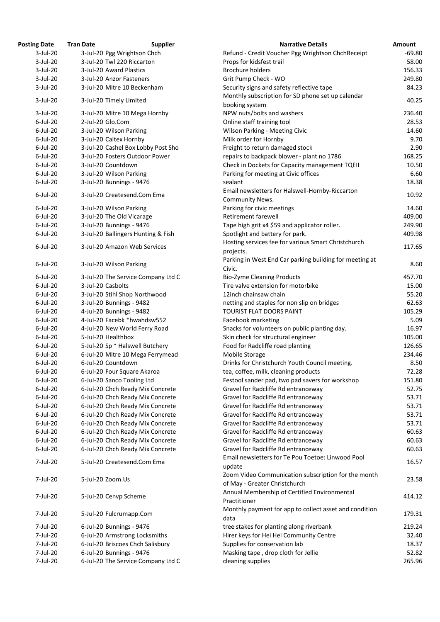| <b>Posting Date</b> | <b>Tran Date</b>        | <b>Supplier</b>                    | <b>Narrative Details</b>                                           | Amount   |
|---------------------|-------------------------|------------------------------------|--------------------------------------------------------------------|----------|
| $3$ -Jul-20         |                         | 3-Jul-20 Pgg Wrightson Chch        | Refund - Credit Voucher Pgg Wrightson ChchReceipt                  | $-69.80$ |
| $3$ -Jul-20         |                         | 3-Jul-20 Twl 220 Riccarton         | Props for kidsfest trail                                           | 58.00    |
| $3$ -Jul-20         | 3-Jul-20 Award Plastics |                                    | <b>Brochure holders</b>                                            | 156.33   |
| $3$ -Jul-20         |                         | 3-Jul-20 Anzor Fasteners           | Grit Pump Check - WO                                               | 249.80   |
| $3$ -Jul-20         |                         | 3-Jul-20 Mitre 10 Beckenham        | Security signs and safety reflective tape                          | 84.23    |
|                     |                         |                                    | Monthly subscription for SD phone set up calendar                  |          |
| $3$ -Jul-20         | 3-Jul-20 Timely Limited |                                    | booking system                                                     | 40.25    |
| $3$ -Jul-20         |                         | 3-Jul-20 Mitre 10 Mega Hornby      | NPW nuts/bolts and washers                                         | 236.40   |
| $6$ -Jul-20         | 2-Jul-20 Glo.Com        |                                    | Online staff training tool                                         | 28.53    |
| $6$ -Jul-20         | 3-Jul-20 Wilson Parking |                                    | <b>Wilson Parking - Meeting Civic</b>                              | 14.60    |
| $6$ -Jul-20         | 3-Jul-20 Caltex Hornby  |                                    | Milk order for Hornby                                              | 9.70     |
| $6$ -Jul-20         |                         | 3-Jul-20 Cashel Box Lobby Post Sho | Freight to return damaged stock                                    | 2.90     |
| $6$ -Jul-20         |                         | 3-Jul-20 Fosters Outdoor Power     | repairs to backpack blower - plant no 1786                         | 168.25   |
| $6$ -Jul-20         | 3-Jul-20 Countdown      |                                    | Check in Dockets for Capacity management TQEII                     |          |
|                     |                         |                                    |                                                                    | 10.50    |
| $6$ -Jul-20         | 3-Jul-20 Wilson Parking |                                    | Parking for meeting at Civic offices                               | 6.60     |
| $6$ -Jul-20         |                         | 3-Jul-20 Bunnings - 9476           | sealant                                                            | 18.38    |
| $6$ -Jul-20         |                         | 3-Jul-20 Createsend.Com Ema        | Email newsletters for Halswell-Hornby-Riccarton<br>Community News. | 10.92    |
| $6$ -Jul-20         | 3-Jul-20 Wilson Parking |                                    | Parking for civic meetings                                         | 14.60    |
| $6$ -Jul-20         |                         | 3-Jul-20 The Old Vicarage          | Retirement farewell                                                | 409.00   |
| $6$ -Jul-20         |                         | 3-Jul-20 Bunnings - 9476           | Tape high grit x4 \$59 and applicator roller.                      | 249.90   |
| $6$ -Jul-20         |                         | 3-Jul-20 Ballingers Hunting & Fish | Spotlight and battery for park.                                    | 409.98   |
|                     |                         |                                    | Hosting services fee for various Smart Christchurch                |          |
| $6$ -Jul-20         |                         | 3-Jul-20 Amazon Web Services       | projects.                                                          | 117.65   |
|                     |                         |                                    | Parking in West End Car parking building for meeting at            |          |
| $6$ -Jul-20         | 3-Jul-20 Wilson Parking |                                    | Civic.                                                             | 8.60     |
| $6$ -Jul-20         |                         | 3-Jul-20 The Service Company Ltd C | <b>Bio-Zyme Cleaning Products</b>                                  | 457.70   |
| $6$ -Jul-20         | 3-Jul-20 Casbolts       |                                    | Tire valve extension for motorbike                                 | 15.00    |
| $6$ -Jul-20         |                         | 3-Jul-20 Stihl Shop Northwood      | 12inch chainsaw chain                                              | 55.20    |
| $6$ -Jul-20         |                         | 3-Jul-20 Bunnings - 9482           | netting and staples for non slip on bridges                        | 62.63    |
|                     |                         |                                    |                                                                    |          |
| $6$ -Jul-20         |                         | 4-Jul-20 Bunnings - 9482           | TOURIST FLAT DOORS PAINT                                           | 105.29   |
| $6$ -Jul-20         |                         | 4-Jul-20 Facebk *hwahdsw552        | Facebook marketing                                                 | 5.09     |
| $6$ -Jul-20         |                         | 4-Jul-20 New World Ferry Road      | Snacks for volunteers on public planting day.                      | 16.97    |
| $6$ -Jul-20         | 5-Jul-20 Healthbox      |                                    | Skin check for structural engineer                                 | 105.00   |
| $6$ -Jul-20         |                         | 5-Jul-20 Sp * Halswell Butchery    | Food for Radcliffe road planting                                   | 126.65   |
| $6$ -Jul-20         |                         | 6-Jul-20 Mitre 10 Mega Ferrymead   | Mobile Storage                                                     | 234.46   |
| $6$ -Jul-20         | 6-Jul-20 Countdown      |                                    | Drinks for Christchurch Youth Council meeting.                     | 8.50     |
| $6$ -Jul-20         |                         | 6-Jul-20 Four Square Akaroa        | tea, coffee, milk, cleaning products                               | 72.28    |
| $6$ -Jul-20         |                         | 6-Jul-20 Sanco Tooling Ltd         | Festool sander pad, two pad savers for workshop                    | 151.80   |
| $6$ -Jul-20         |                         | 6-Jul-20 Chch Ready Mix Concrete   | Gravel for Radcliffe Rd entranceway                                | 52.75    |
| $6$ -Jul-20         |                         | 6-Jul-20 Chch Ready Mix Concrete   | Gravel for Radcliffe Rd entranceway                                | 53.71    |
| $6$ -Jul-20         |                         | 6-Jul-20 Chch Ready Mix Concrete   | Gravel for Radcliffe Rd entranceway                                | 53.71    |
| $6$ -Jul-20         |                         | 6-Jul-20 Chch Ready Mix Concrete   | Gravel for Radcliffe Rd entranceway                                | 53.71    |
| $6$ -Jul-20         |                         | 6-Jul-20 Chch Ready Mix Concrete   | Gravel for Radcliffe Rd entranceway                                | 53.71    |
| $6$ -Jul-20         |                         | 6-Jul-20 Chch Ready Mix Concrete   | Gravel for Radcliffe Rd entranceway                                | 60.63    |
| $6$ -Jul-20         |                         | 6-Jul-20 Chch Ready Mix Concrete   | Gravel for Radcliffe Rd entranceway                                | 60.63    |
| $6$ -Jul-20         |                         | 6-Jul-20 Chch Ready Mix Concrete   | Gravel for Radcliffe Rd entranceway                                | 60.63    |
|                     |                         |                                    | Email newsletters for Te Pou Toetoe: Linwood Pool                  |          |
| 7-Jul-20            |                         | 5-Jul-20 Createsend.Com Ema        | update                                                             | 16.57    |
|                     |                         |                                    |                                                                    |          |
| 7-Jul-20            | 5-Jul-20 Zoom.Us        |                                    | Zoom Video Communication subscription for the month                | 23.58    |
|                     |                         |                                    | of May - Greater Christchurch                                      |          |
| 7-Jul-20            | 5-Jul-20 Cenvp Scheme   |                                    | Annual Membership of Certified Environmental                       | 414.12   |
|                     |                         |                                    | Practitioner                                                       |          |
| 7-Jul-20            |                         | 5-Jul-20 Fulcrumapp.Com            | Monthly payment for app to collect asset and condition             | 179.31   |
|                     |                         |                                    | data                                                               |          |
| 7-Jul-20            |                         | 6-Jul-20 Bunnings - 9476           | tree stakes for planting along riverbank                           | 219.24   |
| 7-Jul-20            |                         | 6-Jul-20 Armstrong Locksmiths      | Hirer keys for Hei Hei Community Centre                            | 32.40    |
| 7-Jul-20            |                         | 6-Jul-20 Briscoes Chch Salisbury   | Supplies for conservation lab                                      | 18.37    |
| 7-Jul-20            |                         | 6-Jul-20 Bunnings - 9476           | Masking tape, drop cloth for Jellie                                | 52.82    |
| 7-Jul-20            |                         | 6-Jul-20 The Service Company Ltd C | cleaning supplies                                                  | 265.96   |
|                     |                         |                                    |                                                                    |          |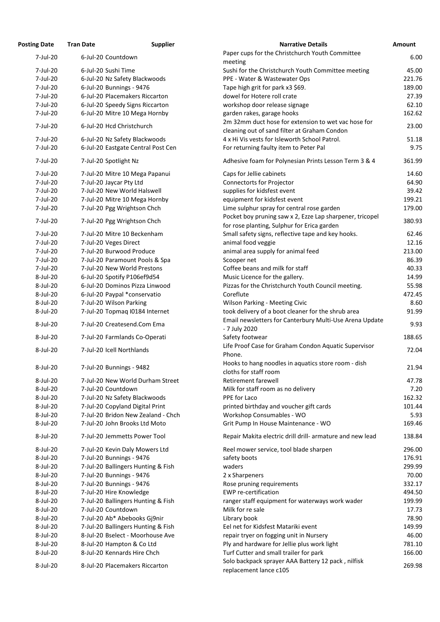| 'osting Date | <b>Tran Date</b>                   | <b>Supplier</b> | <b>Narrative Details</b>                                                                                      |
|--------------|------------------------------------|-----------------|---------------------------------------------------------------------------------------------------------------|
| 7-Jul-20     | 6-Jul-20 Countdown                 |                 | Paper cups for the Christchurch Youth Committee                                                               |
|              |                                    |                 | meeting                                                                                                       |
| 7-Jul-20     | 6-Jul-20 Sushi Time                |                 | Sushi for the Christchurch Youth Committee meeting                                                            |
| 7-Jul-20     | 6-Jul-20 Nz Safety Blackwoods      |                 | PPE - Water & Wastewater Ops                                                                                  |
| 7-Jul-20     | 6-Jul-20 Bunnings - 9476           |                 | Tape high grit for park x3 \$69.                                                                              |
| 7-Jul-20     | 6-Jul-20 Placemakers Riccarton     |                 | dowel for Hotere roll crate                                                                                   |
| 7-Jul-20     | 6-Jul-20 Speedy Signs Riccarton    |                 | workshop door release signage                                                                                 |
| 7-Jul-20     | 6-Jul-20 Mitre 10 Mega Hornby      |                 | garden rakes, garage hooks                                                                                    |
|              |                                    |                 | 2m 32mm duct hose for extension to wet vac hose for                                                           |
| 7-Jul-20     | 6-Jul-20 Hcd Christchurch          |                 | cleaning out of sand filter at Graham Condon                                                                  |
| 7-Jul-20     | 6-Jul-20 Nz Safety Blackwoods      |                 | 4 x Hi Vis vests for Isleworth School Patrol.                                                                 |
| 7-Jul-20     | 6-Jul-20 Eastgate Central Post Cen |                 | For returning faulty item to Peter Pal                                                                        |
| 7-Jul-20     | 7-Jul-20 Spotlight Nz              |                 | Adhesive foam for Polynesian Prints Lesson Term 3 & 4                                                         |
| 7-Jul-20     | 7-Jul-20 Mitre 10 Mega Papanui     |                 | Caps for Jellie cabinets                                                                                      |
| 7-Jul-20     | 7-Jul-20 Jaycar Pty Ltd            |                 | <b>Connectorts for Projector</b>                                                                              |
| 7-Jul-20     | 7-Jul-20 New World Halswell        |                 | supplies for kidsfest event                                                                                   |
| 7-Jul-20     | 7-Jul-20 Mitre 10 Mega Hornby      |                 | equipment for kidsfest event                                                                                  |
| 7-Jul-20     | 7-Jul-20 Pgg Wrightson Chch        |                 | Lime sulphur spray for central rose garden                                                                    |
|              |                                    |                 | Pocket boy pruning saw x 2, Ezze Lap sharpener, tricopel                                                      |
| 7-Jul-20     | 7-Jul-20 Pgg Wrightson Chch        |                 |                                                                                                               |
|              |                                    |                 | for rose planting, Sulphur for Erica garden                                                                   |
| 7-Jul-20     | 7-Jul-20 Mitre 10 Beckenham        |                 | Small safety signs, reflective tape and key hooks.                                                            |
| 7-Jul-20     | 7-Jul-20 Veges Direct              |                 | animal food veggie                                                                                            |
| 7-Jul-20     | 7-Jul-20 Burwood Produce           |                 | animal area supply for animal feed                                                                            |
| 7-Jul-20     | 7-Jul-20 Paramount Pools & Spa     |                 | Scooper net                                                                                                   |
| 7-Jul-20     | 7-Jul-20 New World Prestons        |                 | Coffee beans and milk for staff                                                                               |
| 8-Jul-20     | 6-Jul-20 Spotify P106ef9d54        |                 | Music Licence for the gallery.                                                                                |
| 8-Jul-20     | 6-Jul-20 Dominos Pizza Linwood     |                 | Pizzas for the Christchurch Youth Council meeting.                                                            |
| 8-Jul-20     | 6-Jul-20 Paypal *conservatio       |                 | Coreflute                                                                                                     |
| 8-Jul-20     | 7-Jul-20 Wilson Parking            |                 | <b>Wilson Parking - Meeting Civic</b>                                                                         |
| 8-Jul-20     | 7-Jul-20 Topmag I0184 Internet     |                 | took delivery of a boot cleaner for the shrub area<br>Email newsletters for Canterbury Multi-Use Arena Update |
| 8-Jul-20     | 7-Jul-20 Createsend.Com Ema        |                 | - 7 July 2020                                                                                                 |
| 8-Jul-20     | 7-Jul-20 Farmlands Co-Operati      |                 | Safety footwear<br>Life Proof Case for Graham Condon Aquatic Supervisor                                       |
| 8-Jul-20     | 7-Jul-20 Icell Northlands          |                 | Phone.                                                                                                        |
| 8-Jul-20     | 7-Jul-20 Bunnings - 9482           |                 | Hooks to hang noodles in aquatics store room - dish                                                           |
|              |                                    |                 | cloths for staff room<br>Retirement farewell                                                                  |
| 8-Jul-20     | 7-Jul-20 New World Durham Street   |                 |                                                                                                               |
| 8-Jul-20     | 7-Jul-20 Countdown                 |                 | Milk for staff room as no delivery                                                                            |
| 8-Jul-20     | 7-Jul-20 Nz Safety Blackwoods      |                 | PPE for Laco                                                                                                  |
| 8-Jul-20     | 7-Jul-20 Copyland Digital Print    |                 | printed birthday and voucher gift cards                                                                       |
| 8-Jul-20     | 7-Jul-20 Bridon New Zealand - Chch |                 | Workshop Consumables - WO                                                                                     |
| 8-Jul-20     | 7-Jul-20 John Brooks Ltd Moto      |                 | Grit Pump In House Maintenance - WO                                                                           |
| 8-Jul-20     | 7-Jul-20 Jemmetts Power Tool       |                 | Repair Makita electric drill drill- armature and new lead                                                     |
| 8-Jul-20     | 7-Jul-20 Kevin Daly Mowers Ltd     |                 | Reel mower service, tool blade sharpen                                                                        |
| 8-Jul-20     | 7-Jul-20 Bunnings - 9476           |                 | safety boots                                                                                                  |
| 8-Jul-20     | 7-Jul-20 Ballingers Hunting & Fish |                 | waders                                                                                                        |
| 8-Jul-20     | 7-Jul-20 Bunnings - 9476           |                 | 2 x Sharpeners                                                                                                |
| 8-Jul-20     | 7-Jul-20 Bunnings - 9476           |                 | Rose pruning requirements                                                                                     |
| 8-Jul-20     | 7-Jul-20 Hire Knowledge            |                 | <b>EWP</b> re-certification                                                                                   |
| 8-Jul-20     | 7-Jul-20 Ballingers Hunting & Fish |                 | ranger staff equipment for waterways work wader                                                               |
| 8-Jul-20     | 7-Jul-20 Countdown                 |                 | Milk for re sale                                                                                              |
| 8-Jul-20     | 7-Jul-20 Ab* Abebooks Gj9nir       |                 | Library book                                                                                                  |
| 8-Jul-20     | 7-Jul-20 Ballingers Hunting & Fish |                 | Eel net for Kidsfest Matariki event                                                                           |
| 8-Jul-20     | 8-Jul-20 Bselect - Moorhouse Ave   |                 | repair tryer on fogging unit in Nursery                                                                       |
| 8-Jul-20     | 8-Jul-20 Hampton & Co Ltd          |                 | Ply and hardware for Jellie plus work light                                                                   |
| 8-Jul-20     | 8-Jul-20 Kennards Hire Chch        |                 | Turf Cutter and small trailer for park                                                                        |
|              |                                    |                 | Solo backpack sprayer AAA Battery 12 pack, nilfisk                                                            |
| 8-Jul-20     | 8-Jul-20 Placemakers Riccarton     |                 | ------------------                                                                                            |

| <b>Posting Date</b> | <b>Tran Date</b>          | <b>Supplier</b>                    | <b>Narrative Details</b>                                  | Amount |
|---------------------|---------------------------|------------------------------------|-----------------------------------------------------------|--------|
| 7-Jul-20            | 6-Jul-20 Countdown        |                                    | Paper cups for the Christchurch Youth Committee           | 6.00   |
|                     |                           |                                    | meeting                                                   |        |
| 7-Jul-20            | 6-Jul-20 Sushi Time       |                                    | Sushi for the Christchurch Youth Committee meeting        | 45.00  |
| 7-Jul-20            |                           | 6-Jul-20 Nz Safety Blackwoods      | PPE - Water & Wastewater Ops                              | 221.76 |
| 7-Jul-20            | 6-Jul-20 Bunnings - 9476  |                                    | Tape high grit for park x3 \$69.                          | 189.00 |
| 7-Jul-20            |                           | 6-Jul-20 Placemakers Riccarton     | dowel for Hotere roll crate                               | 27.39  |
| 7-Jul-20            |                           | 6-Jul-20 Speedy Signs Riccarton    | workshop door release signage                             | 62.10  |
| 7-Jul-20            |                           | 6-Jul-20 Mitre 10 Mega Hornby      | garden rakes, garage hooks                                | 162.62 |
| 7-Jul-20            | 6-Jul-20 Hcd Christchurch |                                    | 2m 32mm duct hose for extension to wet vac hose for       | 23.00  |
|                     |                           |                                    | cleaning out of sand filter at Graham Condon              |        |
| 7-Jul-20            |                           | 6-Jul-20 Nz Safety Blackwoods      | 4 x Hi Vis vests for Isleworth School Patrol.             | 51.18  |
| 7-Jul-20            |                           | 6-Jul-20 Eastgate Central Post Cen | For returning faulty item to Peter Pal                    | 9.75   |
| 7-Jul-20            | 7-Jul-20 Spotlight Nz     |                                    | Adhesive foam for Polynesian Prints Lesson Term 3 & 4     | 361.99 |
| 7-Jul-20            |                           | 7-Jul-20 Mitre 10 Mega Papanui     | Caps for Jellie cabinets                                  | 14.60  |
| 7-Jul-20            | 7-Jul-20 Jaycar Pty Ltd   |                                    | <b>Connectorts for Projector</b>                          | 64.90  |
| 7-Jul-20            |                           | 7-Jul-20 New World Halswell        | supplies for kidsfest event                               | 39.42  |
| 7-Jul-20            |                           | 7-Jul-20 Mitre 10 Mega Hornby      | equipment for kidsfest event                              | 199.21 |
| 7-Jul-20            |                           | 7-Jul-20 Pgg Wrightson Chch        | Lime sulphur spray for central rose garden                | 179.00 |
| 7-Jul-20            |                           |                                    | Pocket boy pruning saw x 2, Ezze Lap sharpener, tricopel  | 380.93 |
|                     |                           | 7-Jul-20 Pgg Wrightson Chch        | for rose planting, Sulphur for Erica garden               |        |
| 7-Jul-20            |                           | 7-Jul-20 Mitre 10 Beckenham        | Small safety signs, reflective tape and key hooks.        | 62.46  |
| 7-Jul-20            | 7-Jul-20 Veges Direct     |                                    | animal food veggie                                        | 12.16  |
| 7-Jul-20            | 7-Jul-20 Burwood Produce  |                                    | animal area supply for animal feed                        | 213.00 |
| 7-Jul-20            |                           | 7-Jul-20 Paramount Pools & Spa     | Scooper net                                               | 86.39  |
| 7-Jul-20            |                           | 7-Jul-20 New World Prestons        | Coffee beans and milk for staff                           | 40.33  |
| 8-Jul-20            |                           | 6-Jul-20 Spotify P106ef9d54        | Music Licence for the gallery.                            | 14.99  |
| $8$ -Jul-20         |                           | 6-Jul-20 Dominos Pizza Linwood     | Pizzas for the Christchurch Youth Council meeting.        | 55.98  |
| 8-Jul-20            |                           | 6-Jul-20 Paypal *conservatio       | Coreflute                                                 | 472.45 |
| 8-Jul-20            | 7-Jul-20 Wilson Parking   |                                    | <b>Wilson Parking - Meeting Civic</b>                     | 8.60   |
| 8-Jul-20            |                           | 7-Jul-20 Topmaq I0184 Internet     | took delivery of a boot cleaner for the shrub area        | 91.99  |
|                     |                           |                                    | Email newsletters for Canterbury Multi-Use Arena Update   |        |
| 8-Jul-20            |                           | 7-Jul-20 Createsend.Com Ema        | - 7 July 2020                                             | 9.93   |
| 8-Jul-20            |                           | 7-Jul-20 Farmlands Co-Operati      | Safety footwear                                           | 188.65 |
| 8-Jul-20            | 7-Jul-20 Icell Northlands |                                    | Life Proof Case for Graham Condon Aquatic Supervisor      | 72.04  |
|                     |                           |                                    | Phone.                                                    |        |
| 8-Jul-20            | 7-Jul-20 Bunnings - 9482  |                                    | Hooks to hang noodles in aquatics store room - dish       | 21.94  |
|                     |                           |                                    | cloths for staff room                                     |        |
| 8-Jul-20            |                           | 7-Jul-20 New World Durham Street   | <b>Retirement farewell</b>                                | 47.78  |
| 8-Jul-20            | 7-Jul-20 Countdown        |                                    | Milk for staff room as no delivery                        | 7.20   |
| 8-Jul-20            |                           | 7-Jul-20 Nz Safety Blackwoods      | PPE for Laco                                              | 162.32 |
| 8-Jul-20            |                           | 7-Jul-20 Copyland Digital Print    | printed birthday and voucher gift cards                   | 101.44 |
| 8-Jul-20            |                           | 7-Jul-20 Bridon New Zealand - Chch | Workshop Consumables - WO                                 | 5.93   |
| 8-Jul-20            |                           | 7-Jul-20 John Brooks Ltd Moto      | Grit Pump In House Maintenance - WO                       | 169.46 |
| 8-Jul-20            |                           | 7-Jul-20 Jemmetts Power Tool       | Repair Makita electric drill drill- armature and new lead | 138.84 |
| 8-Jul-20            |                           | 7-Jul-20 Kevin Daly Mowers Ltd     | Reel mower service, tool blade sharpen                    | 296.00 |
| 8-Jul-20            | 7-Jul-20 Bunnings - 9476  |                                    | safety boots                                              | 176.91 |
| 8-Jul-20            |                           | 7-Jul-20 Ballingers Hunting & Fish | waders                                                    | 299.99 |
| 8-Jul-20            | 7-Jul-20 Bunnings - 9476  |                                    | 2 x Sharpeners                                            | 70.00  |
| 8-Jul-20            | 7-Jul-20 Bunnings - 9476  |                                    | Rose pruning requirements                                 | 332.17 |
| 8-Jul-20            | 7-Jul-20 Hire Knowledge   |                                    | <b>EWP</b> re-certification                               | 494.50 |
| 8-Jul-20            |                           | 7-Jul-20 Ballingers Hunting & Fish | ranger staff equipment for waterways work wader           | 199.99 |
| 8-Jul-20            | 7-Jul-20 Countdown        |                                    | Milk for re sale                                          | 17.73  |
| 8-Jul-20            |                           | 7-Jul-20 Ab* Abebooks Gj9nir       | Library book                                              | 78.90  |
| 8-Jul-20            |                           | 7-Jul-20 Ballingers Hunting & Fish | Eel net for Kidsfest Matariki event                       | 149.99 |
| 8-Jul-20            |                           | 8-Jul-20 Bselect - Moorhouse Ave   | repair tryer on fogging unit in Nursery                   | 46.00  |
| 8-Jul-20            | 8-Jul-20 Hampton & Co Ltd |                                    | Ply and hardware for Jellie plus work light               | 781.10 |
| 8-Jul-20            |                           | 8-Jul-20 Kennards Hire Chch        | Turf Cutter and small trailer for park                    | 166.00 |
|                     |                           |                                    | Solo backpack sprayer AAA Battery 12 pack, nilfisk        |        |
| 8-Jul-20            |                           | 8-Jul-20 Placemakers Riccarton     | replacement lance c105                                    | 269.98 |
|                     |                           |                                    |                                                           |        |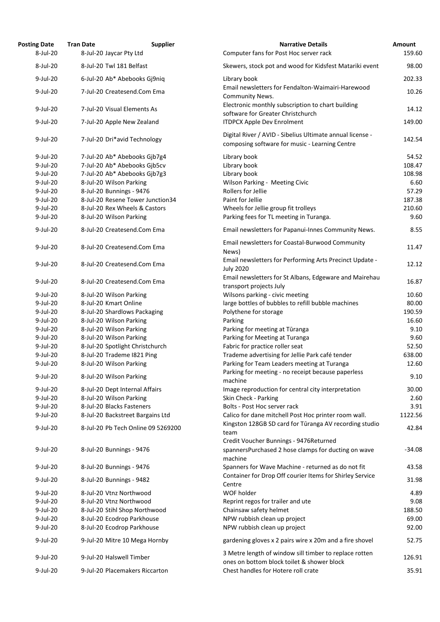| <b>Posting Date</b><br>8-Jul-20 | <b>Tran Date</b><br>8-Jul-20 Jaycar Pty Ltd | <b>Supplier</b> | <b>Narrative Details</b><br>Computer fans for Post Hoc server rack                                          | Amount<br>159.60 |
|---------------------------------|---------------------------------------------|-----------------|-------------------------------------------------------------------------------------------------------------|------------------|
| 8-Jul-20                        | 8-Jul-20 Twl 181 Belfast                    |                 | Skewers, stock pot and wood for Kidsfest Matariki event                                                     | 98.00            |
| 9-Jul-20                        | 6-Jul-20 Ab* Abebooks Gj9niq                |                 | Library book                                                                                                | 202.33           |
|                                 |                                             |                 | Email newsletters for Fendalton-Waimairi-Harewood                                                           |                  |
| 9-Jul-20                        | 7-Jul-20 Createsend.Com Ema                 |                 | Community News.<br>Electronic monthly subscription to chart building                                        | 10.26            |
| $9$ -Jul-20                     | 7-Jul-20 Visual Elements As                 |                 | software for Greater Christchurch                                                                           | 14.12            |
| 9-Jul-20                        | 7-Jul-20 Apple New Zealand                  |                 | <b>ITDPCX Apple Dev Enrolment</b>                                                                           | 149.00           |
| 9-Jul-20                        | 7-Jul-20 Dri*avid Technology                |                 | Digital River / AVID - Sibelius Ultimate annual license -<br>composing software for music - Learning Centre | 142.54           |
| $9$ -Jul-20                     | 7-Jul-20 Ab* Abebooks Gjb7g4                |                 | Library book                                                                                                | 54.52            |
| $9$ -Jul-20                     | 7-Jul-20 Ab* Abebooks Gib5cv                |                 | Library book                                                                                                | 108.47           |
| $9$ -Jul-20                     | 7-Jul-20 Ab* Abebooks Gjb7g3                |                 | Library book                                                                                                | 108.98           |
| 9-Jul-20                        | 8-Jul-20 Wilson Parking                     |                 | Wilson Parking - Meeting Civic                                                                              | 6.60             |
| $9$ -Jul-20                     | 8-Jul-20 Bunnings - 9476                    |                 | Rollers for Jellie                                                                                          | 57.29            |
| 9-Jul-20                        | 8-Jul-20 Resene Tower Junction34            |                 | Paint for Jellie                                                                                            | 187.38           |
| 9-Jul-20                        | 8-Jul-20 Rex Wheels & Castors               |                 | Wheels for Jellie group fit trolleys                                                                        | 210.60           |
| 9-Jul-20                        | 8-Jul-20 Wilson Parking                     |                 | Parking fees for TL meeting in Turanga.                                                                     | 9.60             |
| 9-Jul-20                        | 8-Jul-20 Createsend.Com Ema                 |                 | Email newsletters for Papanui-Innes Community News.                                                         | 8.55             |
| 9-Jul-20                        | 8-Jul-20 Createsend.Com Ema                 |                 | Email newsletters for Coastal-Burwood Community<br>News)                                                    | 11.47            |
| 9-Jul-20                        | 8-Jul-20 Createsend.Com Ema                 |                 | Email newsletters for Performing Arts Precinct Update -<br><b>July 2020</b>                                 | 12.12            |
| $9$ -Jul-20                     | 8-Jul-20 Createsend.Com Ema                 |                 | Email newsletters for St Albans, Edgeware and Mairehau<br>transport projects July                           | 16.87            |
| 9-Jul-20                        | 8-Jul-20 Wilson Parking                     |                 | Wilsons parking - civic meeting                                                                             | 10.60            |
| 9-Jul-20                        | 8-Jul-20 Kmart Online                       |                 | large bottles of bubbles to refill bubble machines                                                          | 80.00            |
| 9-Jul-20                        | 8-Jul-20 Shardlows Packaging                |                 | Polythene for storage                                                                                       | 190.59           |
| 9-Jul-20                        | 8-Jul-20 Wilson Parking                     |                 | Parking                                                                                                     | 16.60            |
| 9-Jul-20                        | 8-Jul-20 Wilson Parking                     |                 | Parking for meeting at Tūranga                                                                              | 9.10             |
| 9-Jul-20                        | 8-Jul-20 Wilson Parking                     |                 | Parking for Meeting at Turanga                                                                              | 9.60             |
| $9$ -Jul-20                     | 8-Jul-20 Spotlight Christchurch             |                 | Fabric for practice roller seat                                                                             | 52.50            |
| 9-Jul-20                        | 8-Jul-20 Trademe I821 Ping                  |                 | Trademe advertising for Jellie Park café tender                                                             | 638.00           |
| 9-Jul-20                        | 8-Jul-20 Wilson Parking                     |                 | Parking for Team Leaders meeting at Turanga                                                                 | 12.60            |
| 9-Jul-20                        | 8-Jul-20 Wilson Parking                     |                 | Parking for meeting - no receipt because paperless<br>machine                                               | 9.10             |
| 9-Jul-20                        | 8-Jul-20 Dept Internal Affairs              |                 | Image reproduction for central city interpretation                                                          | 30.00            |
| 9-Jul-20                        | 8-Jul-20 Wilson Parking                     |                 | Skin Check - Parking                                                                                        | 2.60             |
| 9-Jul-20                        | 8-Jul-20 Blacks Fasteners                   |                 | Bolts - Post Hoc server rack                                                                                | 3.91             |
| 9-Jul-20                        | 8-Jul-20 Backstreet Bargains Ltd            |                 | Calico for dane mitchell Post Hoc printer room wall.                                                        | 1122.56          |
| 9-Jul-20                        | 8-Jul-20 Pb Tech Online 09 5269200          |                 | Kingston 128GB SD card for Tūranga AV recording studio<br>team                                              | 42.84            |
| 9-Jul-20                        | 8-Jul-20 Bunnings - 9476                    |                 | Credit Voucher Bunnings - 9476Returned<br>spannersPurchased 2 hose clamps for ducting on wave               | $-34.08$         |
| 9-Jul-20                        | 8-Jul-20 Bunnings - 9476                    |                 | machine<br>Spanners for Wave Machine - returned as do not fit                                               | 43.58            |
| 9-Jul-20                        | 8-Jul-20 Bunnings - 9482                    |                 | Container for Drop Off courier Items for Shirley Service<br>Centre                                          | 31.98            |
| $9$ -Jul-20                     | 8-Jul-20 Vtnz Northwood                     |                 | WOF holder                                                                                                  | 4.89             |
| $9$ -Jul-20                     | 8-Jul-20 Vtnz Northwood                     |                 | Reprint regos for trailer and ute                                                                           | 9.08             |
| 9-Jul-20                        | 8-Jul-20 Stihl Shop Northwood               |                 | Chainsaw safety helmet                                                                                      | 188.50           |
| 9-Jul-20                        | 8-Jul-20 Ecodrop Parkhouse                  |                 | NPW rubbish clean up project                                                                                | 69.00            |
| 9-Jul-20                        | 8-Jul-20 Ecodrop Parkhouse                  |                 | NPW rubbish clean up project                                                                                | 92.00            |
| 9-Jul-20                        | 9-Jul-20 Mitre 10 Mega Hornby               |                 | gardening gloves x 2 pairs wire x 20m and a fire shovel                                                     | 52.75            |
| 9-Jul-20                        | 9-Jul-20 Halswell Timber                    |                 | 3 Metre length of window sill timber to replace rotten<br>ones on bottom block toilet & shower block        | 126.91           |
| 9-Jul-20                        | 9-Jul-20 Placemakers Riccarton              |                 | Chest handles for Hotere roll crate                                                                         | 35.91            |
|                                 |                                             |                 |                                                                                                             |                  |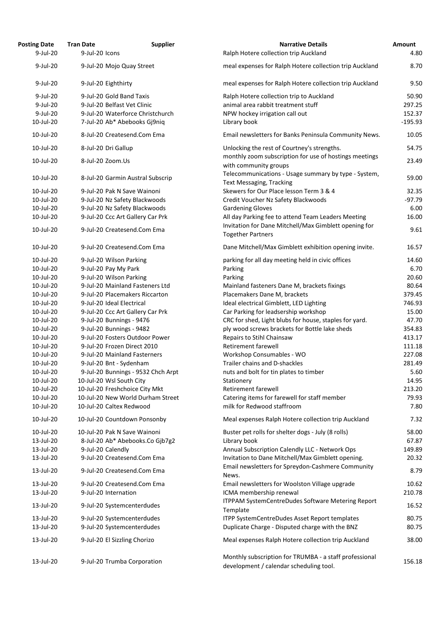| <b>Posting Date</b> | <b>Tran Date</b><br><b>Supplier</b> | <b>Narrative Details</b>                                                                          | Amount    |
|---------------------|-------------------------------------|---------------------------------------------------------------------------------------------------|-----------|
| 9-Jul-20            | 9-Jul-20 Icons                      | Ralph Hotere collection trip Auckland                                                             | 4.80      |
| 9-Jul-20            | 9-Jul-20 Mojo Quay Street           | meal expenses for Ralph Hotere collection trip Auckland                                           | 8.70      |
| 9-Jul-20            | 9-Jul-20 Eighthirty                 | meal expenses for Ralph Hotere collection trip Auckland                                           | 9.50      |
| 9-Jul-20            | 9-Jul-20 Gold Band Taxis            | Ralph Hotere collection trip to Auckland                                                          | 50.90     |
| $9$ -Jul-20         | 9-Jul-20 Belfast Vet Clinic         | animal area rabbit treatment stuff                                                                | 297.25    |
| 9-Jul-20            | 9-Jul-20 Waterforce Christchurch    | NPW hockey irrigation call out                                                                    | 152.37    |
| 10-Jul-20           | 7-Jul-20 Ab* Abebooks Gj9niq        | Library book                                                                                      | $-195.93$ |
|                     |                                     |                                                                                                   |           |
| 10-Jul-20           | 8-Jul-20 Createsend.Com Ema         | Email newsletters for Banks Peninsula Community News.                                             | 10.05     |
| 10-Jul-20           | 8-Jul-20 Dri Gallup                 | Unlocking the rest of Courtney's strengths.                                                       | 54.75     |
| 10-Jul-20           | 8-Jul-20 Zoom.Us                    | monthly zoom subscription for use of hostings meetings<br>with community groups                   | 23.49     |
| 10-Jul-20           | 8-Jul-20 Garmin Austral Subscrip    | Telecommunications - Usage summary by type - System,<br><b>Text Messaging, Tracking</b>           | 59.00     |
| 10-Jul-20           | 9-Jul-20 Pak N Save Wainoni         | Skewers for Our Place lesson Term 3 & 4                                                           | 32.35     |
| 10-Jul-20           | 9-Jul-20 Nz Safety Blackwoods       | Credit Voucher Nz Safety Blackwoods                                                               | $-97.79$  |
| 10-Jul-20           | 9-Jul-20 Nz Safety Blackwoods       | <b>Gardening Gloves</b>                                                                           | 6.00      |
| 10-Jul-20           | 9-Jul-20 Ccc Art Gallery Car Prk    | All day Parking fee to attend Team Leaders Meeting                                                | 16.00     |
| 10-Jul-20           | 9-Jul-20 Createsend.Com Ema         | Invitation for Dane Mitchell/Max Gimblett opening for<br><b>Together Partners</b>                 | 9.61      |
| 10-Jul-20           | 9-Jul-20 Createsend.Com Ema         | Dane Mitchell/Max Gimblett exhibition opening invite.                                             | 16.57     |
| 10-Jul-20           | 9-Jul-20 Wilson Parking             | parking for all day meeting held in civic offices                                                 | 14.60     |
| 10-Jul-20           | 9-Jul-20 Pay My Park                | Parking                                                                                           | 6.70      |
| 10-Jul-20           | 9-Jul-20 Wilson Parking             | Parking                                                                                           | 20.60     |
| 10-Jul-20           | 9-Jul-20 Mainland Fasteners Ltd     | Mainland fasteners Dane M, brackets fixings                                                       | 80.64     |
| 10-Jul-20           | 9-Jul-20 Placemakers Riccarton      | Placemakers Dane M, brackets                                                                      | 379.45    |
| 10-Jul-20           | 9-Jul-20 Ideal Electrical           | Ideal electrical Gimblett, LED Lighting                                                           | 746.93    |
| 10-Jul-20           | 9-Jul-20 Ccc Art Gallery Car Prk    | Car Parking for leadsership workshop                                                              | 15.00     |
| 10-Jul-20           |                                     | CRC for shed, Light blubs for house, staples for yard.                                            | 47.70     |
|                     | 9-Jul-20 Bunnings - 9476            |                                                                                                   |           |
| 10-Jul-20           | 9-Jul-20 Bunnings - 9482            | ply wood screws brackets for Bottle lake sheds                                                    | 354.83    |
| 10-Jul-20           | 9-Jul-20 Fosters Outdoor Power      | Repairs to Stihl Chainsaw                                                                         | 413.17    |
| 10-Jul-20           | 9-Jul-20 Frozen Direct 2010         | Retirement farewell                                                                               | 111.18    |
| 10-Jul-20           | 9-Jul-20 Mainland Fasterners        | Workshop Consumables - WO                                                                         | 227.08    |
| 10-Jul-20           | 9-Jul-20 Bnt - Sydenham             | Trailer chains and D-shackles                                                                     | 281.49    |
| 10-Jul-20           | 9-Jul-20 Bunnings - 9532 Chch Arpt  | nuts and bolt for tin plates to timber                                                            | 5.60      |
| 10-Jul-20           | 10-Jul-20 Wsl South City            | Stationery                                                                                        | 14.95     |
| 10-Jul-20           | 10-Jul-20 Freshchoice City Mkt      | Retirement farewell                                                                               | 213.20    |
| 10-Jul-20           | 10-Jul-20 New World Durham Street   | Catering items for farewell for staff member                                                      | 79.93     |
| 10-Jul-20           | 10-Jul-20 Caltex Redwood            | milk for Redwood staffroom                                                                        | 7.80      |
| 10-Jul-20           | 10-Jul-20 Countdown Ponsonby        | Meal expenses Ralph Hotere collection trip Auckland                                               | 7.32      |
| 10-Jul-20           | 10-Jul-20 Pak N Save Wainoni        | Buster pet rolls for shelter dogs - July (8 rolls)                                                | 58.00     |
| 13-Jul-20           | 8-Jul-20 Ab* Abebooks.Co Gjb7g2     | Library book                                                                                      | 67.87     |
| 13-Jul-20           | 9-Jul-20 Calendly                   | Annual Subscription Calendly LLC - Network Ops                                                    | 149.89    |
| 13-Jul-20           | 9-Jul-20 Createsend.Com Ema         | Invitation to Dane Mitchell/Max Gimblett opening.                                                 | 20.32     |
| 13-Jul-20           | 9-Jul-20 Createsend.Com Ema         | Email newsletters for Spreydon-Cashmere Community<br>News.                                        | 8.79      |
| 13-Jul-20           | 9-Jul-20 Createsend.Com Ema         | Email newsletters for Woolston Village upgrade                                                    | 10.62     |
| 13-Jul-20           | 9-Jul-20 Internation                | ICMA membership renewal                                                                           | 210.78    |
| 13-Jul-20           | 9-Jul-20 Systemcenterdudes          | ITPPAM SystemCentreDudes Software Metering Report<br>Template                                     | 16.52     |
| 13-Jul-20           | 9-Jul-20 Systemcenterdudes          | ITPP SystemCentreDudes Asset Report templates                                                     | 80.75     |
| 13-Jul-20           | 9-Jul-20 Systemcenterdudes          | Duplicate Charge - Disputed charge with the BNZ                                                   | 80.75     |
| 13-Jul-20           | 9-Jul-20 El Sizzling Chorizo        | Meal expenses Ralph Hotere collection trip Auckland                                               | 38.00     |
| 13-Jul-20           | 9-Jul-20 Trumba Corporation         | Monthly subscription for TRUMBA - a staff professional<br>development / calendar scheduling tool. | 156.18    |
|                     |                                     |                                                                                                   |           |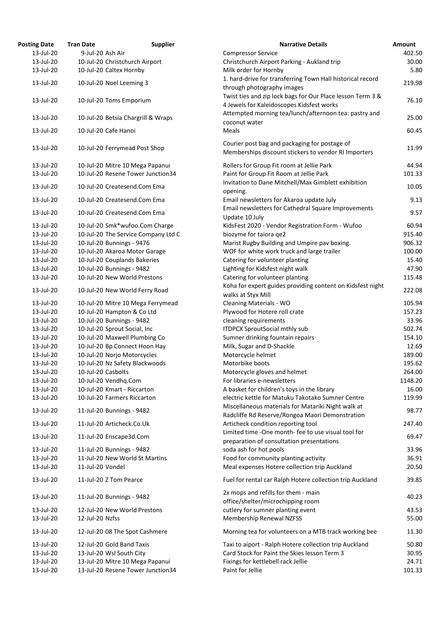| <b>Posting Date</b> | <b>Tran Date</b>                                                     | <b>Supplier</b>                     | <b>Narrative Details</b>                                                             | <b>Amount</b> |
|---------------------|----------------------------------------------------------------------|-------------------------------------|--------------------------------------------------------------------------------------|---------------|
| 13-Jul-20           | 9-Jul-20 Ash Air                                                     |                                     | <b>Compressor Service</b>                                                            | 402.50        |
| 13-Jul-20           | 10-Jul-20 Christchurch Airport                                       |                                     | Christchurch Airport Parking - Aukland trip                                          | 30.00         |
| 13-Jul-20           | 10-Jul-20 Caltex Hornby                                              |                                     | Milk order for Hornby                                                                | 5.80          |
|                     |                                                                      |                                     | 1. hard-drive for transferring Town Hall historical record                           |               |
| 13-Jul-20           | 10-Jul-20 Noel Leeming 3                                             |                                     | through photography images                                                           | 219.98        |
| 13-Jul-20           | 10-Jul-20 Toms Emporium                                              |                                     | Twist ties and zip lock bags for Our Place lesson Term 3 &                           | 76.10         |
|                     |                                                                      |                                     | 4 Jewels for Kaleidoscopes Kidsfest works                                            |               |
| 13-Jul-20           | 10-Jul-20 Betsia Chargrill & Wraps                                   |                                     | Attempted morning tea/lunch/afternoon tea: pastry and                                | 25.00         |
|                     |                                                                      |                                     | coconut water                                                                        |               |
| 13-Jul-20           | 10-Jul-20 Cafe Hanoi                                                 |                                     | Meals                                                                                | 60.45         |
|                     |                                                                      |                                     | Courier post bag and packaging for postage of                                        |               |
| 13-Jul-20           | 10-Jul-20 Ferrymead Post Shop                                        |                                     | Memberships discount stickers to vendor RI Importers                                 | 11.99         |
|                     |                                                                      |                                     |                                                                                      |               |
| 13-Jul-20           | 10-Jul-20 Mitre 10 Mega Papanui<br>10-Jul-20 Resene Tower Junction34 |                                     | Rollers for Group Fit room at Jellie Park<br>Paint for Group Fit Room at Jellie Park | 44.94         |
| 13-Jul-20           |                                                                      |                                     |                                                                                      | 101.33        |
| 13-Jul-20           | 10-Jul-20 Createsend.Com Ema                                         |                                     | Invitation to Dane Mitchell/Max Gimblett exhibition                                  | 10.05         |
| 13-Jul-20           | 10-Jul-20 Createsend.Com Ema                                         |                                     | opening.<br>Email newsletters for Akaroa update July                                 | 9.13          |
|                     |                                                                      |                                     | Email newsletters for Cathedral Square Improvements                                  |               |
| 13-Jul-20           | 10-Jul-20 Createsend.Com Ema                                         |                                     |                                                                                      | 9.57          |
|                     |                                                                      |                                     | Update 10 July                                                                       |               |
| 13-Jul-20           | 10-Jul-20 Smk*wufoo.Com Charge                                       |                                     | KidsFest 2020 - Vendor Registration Form - Wufoo                                     | 60.94         |
| 13-Jul-20           |                                                                      | 10-Jul-20 The Service Company Ltd C | biozyme for taiora qe2                                                               | 915.40        |
| 13-Jul-20           | 10-Jul-20 Bunnings - 9476                                            |                                     | Marist Rugby Building and Umpire pav boxing.                                         | 906.32        |
| 13-Jul-20           | 10-Jul-20 Akaroa Motor Garage                                        |                                     | WOF for white work truck and large trailer                                           | 100.00        |
| 13-Jul-20           | 10-Jul-20 Couplands Bakeries                                         |                                     | Catering for volunteer planting                                                      | 15.40         |
| 13-Jul-20           | 10-Jul-20 Bunnings - 9482                                            |                                     | Lighting for Kidsfest night walk                                                     | 47.90         |
| 13-Jul-20           | 10-Jul-20 New World Prestons                                         |                                     | Catering for volunteer planting                                                      | 115.48        |
| 13-Jul-20           | 10-Jul-20 New World Ferry Road                                       |                                     | Koha for expert guides providing content on Kidsfest night                           | 222.08        |
|                     |                                                                      |                                     | walks at Styx Mill                                                                   |               |
| 13-Jul-20           | 10-Jul-20 Mitre 10 Mega Ferrymead                                    |                                     | <b>Cleaning Materials - WO</b>                                                       | 105.94        |
| 13-Jul-20           | 10-Jul-20 Hampton & Co Ltd                                           |                                     | Plywood for Hotere roll crate                                                        | 157.23        |
| 13-Jul-20           | 10-Jul-20 Bunnings - 9482                                            |                                     | cleaning requirements                                                                | 33.96         |
| 13-Jul-20           | 10-Jul-20 Sprout Social, Inc                                         |                                     | <b>ITDPCX SproutSocial mthly sub</b>                                                 | 502.74        |
| 13-Jul-20           | 10-Jul-20 Maxwell Plumbing Co                                        |                                     | Sumner drinking fountain repairs                                                     | 154.10        |
| 13-Jul-20           | 10-Jul-20 Bp Connect Hoon Hay                                        |                                     | Milk, Sugar and D-Shackle                                                            | 12.69         |
| 13-Jul-20           | 10-Jul-20 Norjo Motorcycles                                          |                                     | Motorcycle helmet                                                                    | 189.00        |
| 13-Jul-20           | 10-Jul-20 Nz Safety Blackwoods                                       |                                     | Motorbike boots                                                                      | 195.62        |
| 13-Jul-20           | 10-Jul-20 Casbolts                                                   |                                     | Motorcycle gloves and helmet                                                         | 264.00        |
| 13-Jul-20           | 10-Jul-20 Vendhq.Com                                                 |                                     | For libraries e-newsletters                                                          | 1148.20       |
| 13-Jul-20           | 10-Jul-20 Kmart - Riccarton                                          |                                     | A basket for children's toys in the library                                          | 16.00         |
| 13-Jul-20           | 10-Jul-20 Farmers Riccarton                                          |                                     | electric kettle for Matuku Takotako Sumner Centre                                    | 119.99        |
| 13-Jul-20           | 11-Jul-20 Bunnings - 9482                                            |                                     | Miscellaneous materials for Matariki Night walk at                                   | 98.77         |
|                     |                                                                      |                                     | Radcliffe Rd Reserve/Rongoa Maori Demonstration                                      |               |
| 13-Jul-20           | 11-Jul-20 Articheck.Co.Uk                                            |                                     | Articheck condition reporting tool                                                   | 247.40        |
| 13-Jul-20           | 11-Jul-20 Enscape3d.Com                                              |                                     | Limited time -One month- fee to use visual tool for                                  | 69.47         |
|                     |                                                                      |                                     | preparation of consultation presentations                                            |               |
| 13-Jul-20           | 11-Jul-20 Bunnings - 9482                                            |                                     | soda ash for hot pools                                                               | 33.96         |
| 13-Jul-20           | 11-Jul-20 New World St Martins                                       |                                     | Food for community planting activity                                                 | 36.91         |
| 13-Jul-20           | 11-Jul-20 Vondel                                                     |                                     | Meal expenses Hotere collection trip Auckland                                        | 20.50         |
| 13-Jul-20           | 11-Jul-20 Z Tom Pearce                                               |                                     | Fuel for rental car Ralph Hotere collection trip Auckland                            | 39.85         |
|                     |                                                                      |                                     |                                                                                      |               |
| 13-Jul-20           | 11-Jul-20 Bunnings - 9482                                            |                                     | 2x mops and refills for them - main                                                  | 40.23         |
|                     |                                                                      |                                     | office/shelter/microchipping room                                                    |               |
| 13-Jul-20           | 12-Jul-20 New World Prestons                                         |                                     | cutlery for sumner planting event                                                    | 43.53         |
| 13-Jul-20           | 12-Jul-20 Nzfss                                                      |                                     | <b>Membership Renewal NZFSS</b>                                                      | 55.00         |
| 13-Jul-20           | 12-Jul-20 08 The Spot Cashmere                                       |                                     | Morning tea for volunteers on a MTB track working bee                                | 11.30         |
| 13-Jul-20           | 12-Jul-20 Gold Band Taxis                                            |                                     | Taxi to aiport - Ralph Hotere collection trip Auckland                               | 50.80         |
| 13-Jul-20           | 13-Jul-20 Wsl South City                                             |                                     | Card Stock for Paint the Skies lesson Term 3                                         | 30.95         |
| 13-Jul-20           | 13-Jul-20 Mitre 10 Mega Papanui                                      |                                     | Fixings for kettlebell rack Jellie                                                   | 24.71         |
| 13-Jul-20           | 13-Jul-20 Resene Tower Junction34                                    |                                     | Paint for Jellie                                                                     | 101.33        |
|                     |                                                                      |                                     |                                                                                      |               |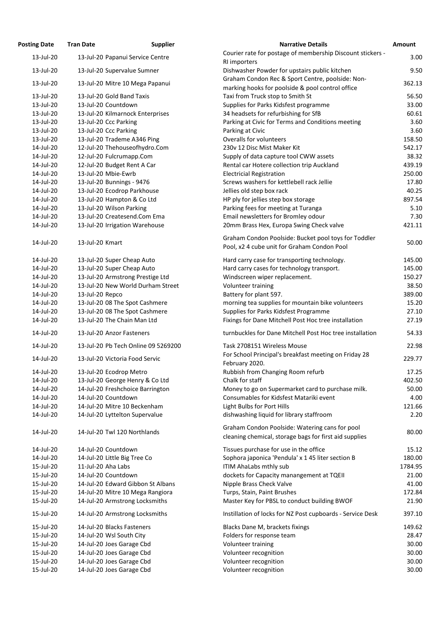| <b>Posting Date</b>    | <b>Tran Date</b>                                         | <b>Supplier</b> | <b>Narrative Details</b>                                                                                 | Amount         |
|------------------------|----------------------------------------------------------|-----------------|----------------------------------------------------------------------------------------------------------|----------------|
| 13-Jul-20              | 13-Jul-20 Papanui Service Centre                         |                 | Courier rate for postage of membership Discount stickers -                                               | 3.00           |
| 13-Jul-20              | 13-Jul-20 Supervalue Sumner                              |                 | RI importers<br>Dishwasher Powder for upstairs public kitchen                                            | 9.50           |
|                        |                                                          |                 | Graham Condon Rec & Sport Centre, poolside: Non-                                                         |                |
| 13-Jul-20              | 13-Jul-20 Mitre 10 Mega Papanui                          |                 | marking hooks for poolside & pool control office                                                         | 362.13         |
| 13-Jul-20              | 13-Jul-20 Gold Band Taxis                                |                 | Taxi from Truck stop to Smith St                                                                         | 56.50          |
| 13-Jul-20              | 13-Jul-20 Countdown                                      |                 | Supplies for Parks Kidsfest programme                                                                    | 33.00          |
| 13-Jul-20              | 13-Jul-20 Kilmarnock Enterprises                         |                 | 34 headsets for refurbishing for SfB                                                                     | 60.61          |
| 13-Jul-20              | 13-Jul-20 Ccc Parking                                    |                 | Parking at Civic for Terms and Conditions meeting                                                        | 3.60           |
| 13-Jul-20              | 13-Jul-20 Ccc Parking                                    |                 | Parking at Civic                                                                                         | 3.60           |
| 13-Jul-20              | 13-Jul-20 Trademe A346 Ping                              |                 | Overalls for volunteers                                                                                  | 158.50         |
| 14-Jul-20              | 12-Jul-20 Thehouseofhydro.Com                            |                 | 230v 12 Disc Mist Maker Kit                                                                              | 542.17         |
| 14-Jul-20              | 12-Jul-20 Fulcrumapp.Com                                 |                 | Supply of data capture tool CWW assets                                                                   | 38.32          |
| 14-Jul-20              | 12-Jul-20 Budget Rent A Car                              |                 | Rental car Hotere collection trip Auckland                                                               | 439.19         |
| 14-Jul-20              | 13-Jul-20 Mbie-Ewrb                                      |                 | <b>Electricial Registration</b>                                                                          | 250.00         |
| 14-Jul-20              | 13-Jul-20 Bunnings - 9476                                |                 | Screws washers for kettlebell rack Jellie                                                                | 17.80          |
| 14-Jul-20              | 13-Jul-20 Ecodrop Parkhouse                              |                 | Jellies old step box rack                                                                                | 40.25          |
| 14-Jul-20              | 13-Jul-20 Hampton & Co Ltd                               |                 | HP ply for jellies step box storage                                                                      | 897.54         |
| 14-Jul-20<br>14-Jul-20 | 13-Jul-20 Wilson Parking<br>13-Jul-20 Createsend.Com Ema |                 | Parking fees for meeting at Turanga                                                                      | 5.10           |
| 14-Jul-20              |                                                          |                 | Email newsletters for Bromley odour<br>20mm Brass Hex, Europa Swing Check valve                          | 7.30<br>421.11 |
|                        | 13-Jul-20 Irrigation Warehouse                           |                 |                                                                                                          |                |
| 14-Jul-20              | 13-Jul-20 Kmart                                          |                 | Graham Condon Poolside: Bucket pool toys for Toddler<br>Pool, x2 4 cube unit for Graham Condon Pool      | 50.00          |
| 14-Jul-20              | 13-Jul-20 Super Cheap Auto                               |                 | Hard carry case for transporting technology.                                                             | 145.00         |
| 14-Jul-20              | 13-Jul-20 Super Cheap Auto                               |                 | Hard carry cases for technology transport.                                                               | 145.00         |
| 14-Jul-20              | 13-Jul-20 Armstrong Prestige Ltd                         |                 | Windscreen wiper replacement.                                                                            | 150.27         |
| 14-Jul-20              | 13-Jul-20 New World Durham Street                        |                 | Volunteer training                                                                                       | 38.50          |
| 14-Jul-20              | 13-Jul-20 Repco                                          |                 | Battery for plant 597.                                                                                   | 389.00         |
| 14-Jul-20              | 13-Jul-20 08 The Spot Cashmere                           |                 | morning tea supplies for mountain bike volunteers                                                        | 15.20          |
| 14-Jul-20              | 13-Jul-20 08 The Spot Cashmere                           |                 | Supplies for Parks Kidsfest Programme                                                                    | 27.10          |
| 14-Jul-20              | 13-Jul-20 The Chain Man Ltd                              |                 | Fixings for Dane Mitchell Post Hoc tree installation                                                     | 27.19          |
| 14-Jul-20              | 13-Jul-20 Anzor Fasteners                                |                 | turnbuckles for Dane Mitchell Post Hoc tree installation                                                 | 54.33          |
| 14-Jul-20              | 13-Jul-20 Pb Tech Online 09 5269200                      |                 | Task 2708151 Wireless Mouse                                                                              | 22.98          |
| 14-Jul-20              | 13-Jul-20 Victoria Food Servic                           |                 | For School Principal's breakfast meeting on Friday 28<br>February 2020.                                  | 229.77         |
| 14-Jul-20              | 13-Jul-20 Ecodrop Metro                                  |                 | Rubbish from Changing Room refurb                                                                        | 17.25          |
| 14-Jul-20              | 13-Jul-20 George Henry & Co Ltd                          |                 | Chalk for staff                                                                                          | 402.50         |
| 14-Jul-20              | 14-Jul-20 Freshchoice Barrington                         |                 | Money to go on Supermarket card to purchase milk.                                                        | 50.00          |
| 14-Jul-20              | 14-Jul-20 Countdown                                      |                 | Consumables for Kidsfest Matariki event                                                                  | 4.00           |
| 14-Jul-20              | 14-Jul-20 Mitre 10 Beckenham                             |                 | Light Bulbs for Port Hills                                                                               | 121.66         |
| 14-Jul-20              | 14-Jul-20 Lyttelton Supervalue                           |                 | dishwashing liquid for library staffroom                                                                 | 2.20           |
| 14-Jul-20              | 14-Jul-20 Twl 120 Northlands                             |                 | Graham Condon Poolside: Watering cans for pool<br>cleaning chemical, storage bags for first aid supplies | 80.00          |
| 14-Jul-20              | 14-Jul-20 Countdown                                      |                 | Tissues purchase for use in the office                                                                   | 15.12          |
| 14-Jul-20              | 14-Jul-20 Little Big Tree Co                             |                 | Sophora japonica 'Pendula' x 1 45 liter section B                                                        | 180.00         |
| 15-Jul-20              | 11-Jul-20 Aha Labs                                       |                 | ITIM AhaLabs mthly sub                                                                                   | 1784.95        |
| 15-Jul-20              | 14-Jul-20 Countdown                                      |                 | dockets for Capacity manangement at TQEII                                                                | 21.00          |
| 15-Jul-20              | 14-Jul-20 Edward Gibbon St Albans                        |                 | Nipple Brass Check Valve                                                                                 | 41.00          |
| 15-Jul-20              | 14-Jul-20 Mitre 10 Mega Rangiora                         |                 | Turps, Stain, Paint Brushes                                                                              | 172.84         |
| 15-Jul-20              | 14-Jul-20 Armstrong Locksmiths                           |                 | Master Key for PBSL to conduct building BWOF                                                             | 21.90          |
| 15-Jul-20              | 14-Jul-20 Armstrong Locksmiths                           |                 | Instillation of locks for NZ Post cupboards - Service Desk                                               | 397.10         |
| 15-Jul-20              | 14-Jul-20 Blacks Fasteners                               |                 | Blacks Dane M, brackets fixings                                                                          | 149.62         |
| 15-Jul-20              | 14-Jul-20 Wsl South City                                 |                 | Folders for response team                                                                                | 28.47          |
| 15-Jul-20              | 14-Jul-20 Joes Garage Cbd                                |                 | Volunteer training                                                                                       | 30.00          |
| 15-Jul-20              | 14-Jul-20 Joes Garage Cbd                                |                 | Volunteer recognition                                                                                    | 30.00          |
| 15-Jul-20              | 14-Jul-20 Joes Garage Cbd                                |                 | Volunteer recognition                                                                                    | 30.00          |
| 15-Jul-20              | 14-Jul-20 Joes Garage Cbd                                |                 | Volunteer recognition                                                                                    | 30.00          |

3.00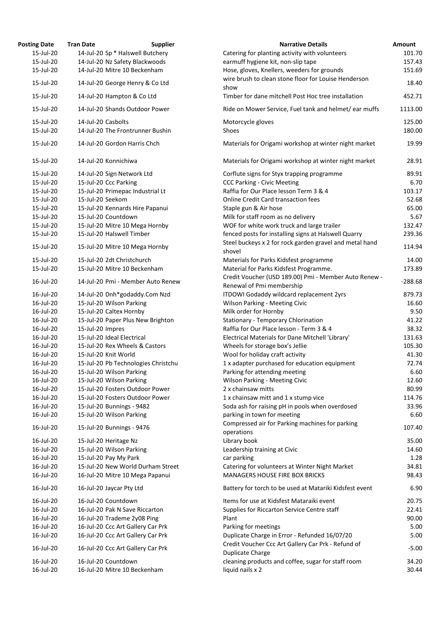| osting Date            | <b>Tran Date</b>                                                       | <b>Supplier</b>                     | <b>Narrative Details</b>                                                                            |
|------------------------|------------------------------------------------------------------------|-------------------------------------|-----------------------------------------------------------------------------------------------------|
| 15-Jul-20              | 14-Jul-20 Sp * Halswell Butchery                                       |                                     | Catering for planting activity with volunteers                                                      |
| 15-Jul-20              | 14-Jul-20 Nz Safety Blackwoods                                         |                                     | earmuff hygiene kit, non-slip tape                                                                  |
| 15-Jul-20              | 14-Jul-20 Mitre 10 Beckenham                                           |                                     | Hose, gloves, Knellers, weeders for grounds                                                         |
| 15-Jul-20              | 14-Jul-20 George Henry & Co Ltd                                        |                                     | wire brush to clean stone floor for Louise Henderson<br>show                                        |
| 15-Jul-20              | 14-Jul-20 Hampton & Co Ltd                                             |                                     | Timber for dane mitchell Post Hoc tree installation                                                 |
| 15-Jul-20              | 14-Jul-20 Shands Outdoor Power                                         |                                     | Ride on Mower Service, Fuel tank and helmet/ear muffs                                               |
| 15-Jul-20              | 14-Jul-20 Casbolts                                                     |                                     | Motorcycle gloves                                                                                   |
| 15-Jul-20              | 14-Jul-20 The Frontrunner Bushin                                       |                                     | Shoes                                                                                               |
| 15-Jul-20              | 14-Jul-20 Gordon Harris Chch                                           |                                     | Materials for Origami workshop at winter night market                                               |
| 15-Jul-20              | 14-Jul-20 Konnichiwa                                                   |                                     | Materials for Origami workshop at winter night market                                               |
| 15-Jul-20              | 14-Jul-20 Sign Network Ltd                                             |                                     | Corflute signs for Styx trapping programme                                                          |
| 15-Jul-20              | 15-Jul-20 Ccc Parking                                                  |                                     | <b>CCC Parking - Civic Meeting</b>                                                                  |
| 15-Jul-20              | 15-Jul-20 Primepac Industrial Lt                                       |                                     | Raffia for Our Place lesson Term 3 & 4                                                              |
| 15-Jul-20              | 15-Jul-20 Seekom                                                       |                                     | <b>Online Credit Card transaction fees</b>                                                          |
| 15-Jul-20              | 15-Jul-20 Kennards Hire Papanui                                        |                                     | Staple gun & Air hose                                                                               |
| 15-Jul-20              | 15-Jul-20 Countdown                                                    |                                     | Milk for staff room as no delivery                                                                  |
| 15-Jul-20              | 15-Jul-20 Mitre 10 Mega Hornby                                         |                                     | WOF for white work truck and large trailer                                                          |
| 15-Jul-20              | 15-Jul-20 Halswell Timber                                              |                                     | fenced posts for installing signs at Halswell Quarry                                                |
| 15-Jul-20              | 15-Jul-20 Mitre 10 Mega Hornby                                         |                                     | Steel buckeys x 2 for rock garden gravel and metal hand<br>shovel                                   |
| 15-Jul-20              | 15-Jul-20 2dt Christchurch                                             |                                     | Materials for Parks Kidsfest programme                                                              |
| 15-Jul-20              | 15-Jul-20 Mitre 10 Beckenham                                           |                                     | Material for Parks Kidsfest Programme.                                                              |
| 16-Jul-20              |                                                                        | 14-Jul-20 Pmi - Member Auto Renew   | Credit Voucher (USD 189.00) Pmi - Member Auto Renew -<br>Renewal of Pmi membership                  |
| 16-Jul-20              | 14-Jul-20 Dnh*godaddy.Com Nzd                                          |                                     | ITDOWI Godaddy wildcard replacement 2yrs                                                            |
| 16-Jul-20              | 15-Jul-20 Wilson Parking                                               |                                     | <b>Wilson Parking - Meeting Civic</b>                                                               |
| 16-Jul-20              | 15-Jul-20 Caltex Hornby                                                |                                     | Milk order for Hornby                                                                               |
| 16-Jul-20              |                                                                        | 15-Jul-20 Paper Plus New Brighton   | <b>Stationary - Temporary Chlorination</b>                                                          |
| 16-Jul-20              | 15-Jul-20 Impres                                                       |                                     | Raffia for Our Place lesson - Term 3 & 4                                                            |
| 16-Jul-20              | 15-Jul-20 Ideal Electrical                                             |                                     | Electrical Materials for Dane Mitchell 'Library'                                                    |
| 16-Jul-20              | 15-Jul-20 Rex Wheels & Castors                                         |                                     | Wheels for storage box's Jellie                                                                     |
| 16-Jul-20              | 15-Jul-20 Knit World                                                   |                                     | Wool for holiday craft activity                                                                     |
| 16-Jul-20              |                                                                        | 15-Jul-20 Pb Technologies Christchu | 1 x adapter purchased for education equipment                                                       |
| 16-Jul-20              | 15-Jul-20 Wilson Parking                                               |                                     | Parking for attending meeting                                                                       |
| 16-Jul-20              | 15-Jul-20 Wilson Parking                                               |                                     | <b>Wilson Parking - Meeting Civic</b>                                                               |
| 16-Jul-20              | 15-Jul-20 Fosters Outdoor Power                                        |                                     | 2 x chainsaw mitts                                                                                  |
| 16-Jul-20              | 15-Jul-20 Fosters Outdoor Power                                        |                                     | 1 x chainsaw mitt and 1 x stump vice                                                                |
| 16-Jul-20              | 15-Jul-20 Bunnings - 9482                                              |                                     | Soda ash for raising pH in pools when overdosed                                                     |
| 16-Jul-20              | 15-Jul-20 Wilson Parking                                               |                                     | parking in town for meeting                                                                         |
| 16-Jul-20              | 15-Jul-20 Bunnings - 9476                                              |                                     | Compressed air for Parking machines for parking                                                     |
| 16-Jul-20              |                                                                        |                                     | operations                                                                                          |
| 16-Jul-20              | 15-Jul-20 Heritage Nz                                                  |                                     | Library book                                                                                        |
|                        | 15-Jul-20 Wilson Parking                                               |                                     | Leadership training at Civic                                                                        |
| 16-Jul-20              | 15-Jul-20 Pay My Park                                                  |                                     | car parking                                                                                         |
| 16-Jul-20              |                                                                        | 15-Jul-20 New World Durham Street   | Catering for volunteers at Winter Night Market                                                      |
| 16-Jul-20<br>16-Jul-20 | 16-Jul-20 Mitre 10 Mega Papanui<br>16-Jul-20 Jaycar Pty Ltd            |                                     | <b>MANAGERS HOUSE FIRE BOX BRICKS</b><br>Battery for torch to be used at Matariki Kidsfest event    |
| 16-Jul-20              | 16-Jul-20 Countdown                                                    |                                     | Items for use at Kidsfest Mataraiki event                                                           |
|                        | 16-Jul-20 Pak N Save Riccarton                                         |                                     |                                                                                                     |
| 16-Jul-20              |                                                                        |                                     | Supplies for Riccarton Service Centre staff                                                         |
| 16-Jul-20<br>16-Jul-20 | 16-Jul-20 Trademe 2y08 Ping                                            |                                     | Plant                                                                                               |
|                        | 16-Jul-20 Ccc Art Gallery Car Prk                                      |                                     | Parking for meetings                                                                                |
| 16-Jul-20<br>16-Jul-20 | 16-Jul-20 Ccc Art Gallery Car Prk<br>16-Jul-20 Ccc Art Gallery Car Prk |                                     | Duplicate Charge in Error - Refunded 16/07/20<br>Credit Voucher Ccc Art Gallery Car Prk - Refund of |
|                        |                                                                        |                                     | <b>Duplicate Charge</b>                                                                             |
| 16-Jul-20              | 16-Jul-20 Countdown                                                    |                                     | cleaning products and coffee, sugar for staff room                                                  |
| $16 - 111 - 20$        | 16-Jul-20 Mitre 10 Beckenham                                           |                                     | liquid nails x 2                                                                                    |

| <b>Posting Date</b>    | <b>Tran Date</b>           | <b>Supplier</b>                     | <b>Narrative Details</b>                                                           | <b>Amount</b> |
|------------------------|----------------------------|-------------------------------------|------------------------------------------------------------------------------------|---------------|
| 15-Jul-20              |                            | 14-Jul-20 Sp * Halswell Butchery    | Catering for planting activity with volunteers                                     | 101.70        |
| 15-Jul-20              |                            | 14-Jul-20 Nz Safety Blackwoods      | earmuff hygiene kit, non-slip tape                                                 | 157.43        |
| 15-Jul-20              |                            | 14-Jul-20 Mitre 10 Beckenham        | Hose, gloves, Knellers, weeders for grounds                                        | 151.69        |
| 15-Jul-20              |                            | 14-Jul-20 George Henry & Co Ltd     | wire brush to clean stone floor for Louise Henderson<br>show                       | 18.40         |
| 15-Jul-20              | 14-Jul-20 Hampton & Co Ltd |                                     | Timber for dane mitchell Post Hoc tree installation                                | 452.71        |
| 15-Jul-20              |                            | 14-Jul-20 Shands Outdoor Power      | Ride on Mower Service, Fuel tank and helmet/ear muffs                              | 1113.00       |
| 15-Jul-20              | 14-Jul-20 Casbolts         |                                     | Motorcycle gloves                                                                  | 125.00        |
| 15-Jul-20              |                            | 14-Jul-20 The Frontrunner Bushin    | Shoes                                                                              | 180.00        |
| 15-Jul-20              |                            | 14-Jul-20 Gordon Harris Chch        | Materials for Origami workshop at winter night market                              | 19.99         |
| 15-Jul-20              | 14-Jul-20 Konnichiwa       |                                     | Materials for Origami workshop at winter night market                              | 28.91         |
| 15-Jul-20              | 14-Jul-20 Sign Network Ltd |                                     | Corflute signs for Styx trapping programme                                         | 89.91         |
| 15-Jul-20              | 15-Jul-20 Ccc Parking      |                                     | <b>CCC Parking - Civic Meeting</b>                                                 | 6.70          |
| 15-Jul-20              |                            | 15-Jul-20 Primepac Industrial Lt    | Raffia for Our Place lesson Term 3 & 4                                             | 103.17        |
| 15-Jul-20              | 15-Jul-20 Seekom           |                                     | <b>Online Credit Card transaction fees</b>                                         | 52.68         |
| 15-Jul-20              |                            | 15-Jul-20 Kennards Hire Papanui     | Staple gun & Air hose                                                              | 65.00         |
| 15-Jul-20              | 15-Jul-20 Countdown        |                                     | Milk for staff room as no delivery                                                 | 5.67          |
| 15-Jul-20              |                            | 15-Jul-20 Mitre 10 Mega Hornby      | WOF for white work truck and large trailer                                         | 132.47        |
| 15-Jul-20              | 15-Jul-20 Halswell Timber  |                                     | fenced posts for installing signs at Halswell Quarry                               | 239.36        |
| 15-Jul-20              |                            | 15-Jul-20 Mitre 10 Mega Hornby      | Steel buckeys x 2 for rock garden gravel and metal hand<br>shovel                  | 114.94        |
| 15-Jul-20              | 15-Jul-20 2dt Christchurch |                                     | Materials for Parks Kidsfest programme                                             | 14.00         |
| 15-Jul-20              |                            | 15-Jul-20 Mitre 10 Beckenham        | Material for Parks Kidsfest Programme.                                             | 173.89        |
| 16-Jul-20              |                            | 14-Jul-20 Pmi - Member Auto Renew   | Credit Voucher (USD 189.00) Pmi - Member Auto Renew -<br>Renewal of Pmi membership | $-288.68$     |
| 16-Jul-20              |                            | 14-Jul-20 Dnh*godaddy.Com Nzd       | ITDOWI Godaddy wildcard replacement 2yrs                                           | 879.73        |
| 16-Jul-20              | 15-Jul-20 Wilson Parking   |                                     | <b>Wilson Parking - Meeting Civic</b>                                              | 16.60         |
| 16-Jul-20              | 15-Jul-20 Caltex Hornby    |                                     | Milk order for Hornby                                                              | 9.50          |
| 16-Jul-20              |                            | 15-Jul-20 Paper Plus New Brighton   | <b>Stationary - Temporary Chlorination</b>                                         | 41.22         |
| 16-Jul-20              | 15-Jul-20 Impres           |                                     | Raffia for Our Place lesson - Term 3 & 4                                           | 38.32         |
| 16-Jul-20              | 15-Jul-20 Ideal Electrical |                                     | Electrical Materials for Dane Mitchell 'Library'                                   | 131.63        |
| 16-Jul-20              |                            | 15-Jul-20 Rex Wheels & Castors      | Wheels for storage box's Jellie                                                    | 105.30        |
| 16-Jul-20              | 15-Jul-20 Knit World       |                                     | Wool for holiday craft activity                                                    | 41.30         |
| 16-Jul-20              |                            | 15-Jul-20 Pb Technologies Christchu | 1 x adapter purchased for education equipment                                      | 72.74         |
|                        |                            |                                     |                                                                                    |               |
| 16-Jul-20<br>16-Jul-20 | 15-Jul-20 Wilson Parking   |                                     | Parking for attending meeting                                                      | 6.60          |
|                        | 15-Jul-20 Wilson Parking   |                                     | <b>Wilson Parking - Meeting Civic</b>                                              | 12.60         |
| 16-Jul-20              |                            | 15-Jul-20 Fosters Outdoor Power     | 2 x chainsaw mitts                                                                 | 80.99         |
| 16-Jul-20              |                            | 15-Jul-20 Fosters Outdoor Power     | 1 x chainsaw mitt and 1 x stump vice                                               | 114.76        |
| 16-Jul-20              | 15-Jul-20 Bunnings - 9482  |                                     | Soda ash for raising pH in pools when overdosed                                    | 33.96         |
| 16-Jul-20              | 15-Jul-20 Wilson Parking   |                                     | parking in town for meeting                                                        | 6.60          |
| 16-Jul-20              | 15-Jul-20 Bunnings - 9476  |                                     | Compressed air for Parking machines for parking<br>operations                      | 107.40        |
| 16-Jul-20              | 15-Jul-20 Heritage Nz      |                                     | Library book                                                                       | 35.00         |
| 16-Jul-20              | 15-Jul-20 Wilson Parking   |                                     | Leadership training at Civic                                                       | 14.60         |
| 16-Jul-20              | 15-Jul-20 Pay My Park      |                                     | car parking                                                                        | 1.28          |
| 16-Jul-20              |                            | 15-Jul-20 New World Durham Street   | Catering for volunteers at Winter Night Market                                     | 34.81         |
| 16-Jul-20              |                            | 16-Jul-20 Mitre 10 Mega Papanui     | <b>MANAGERS HOUSE FIRE BOX BRICKS</b>                                              | 98.43         |
| 16-Jul-20              | 16-Jul-20 Jaycar Pty Ltd   |                                     | Battery for torch to be used at Matariki Kidsfest event                            | 6.90          |
| 16-Jul-20              | 16-Jul-20 Countdown        |                                     | Items for use at Kidsfest Mataraiki event                                          | 20.75         |
| 16-Jul-20              |                            | 16-Jul-20 Pak N Save Riccarton      | Supplies for Riccarton Service Centre staff                                        | 22.41         |
| 16-Jul-20              |                            | 16-Jul-20 Trademe 2y08 Ping         | Plant                                                                              | 90.00         |
| 16-Jul-20              |                            | 16-Jul-20 Ccc Art Gallery Car Prk   | Parking for meetings                                                               | 5.00          |
| 16-Jul-20              |                            | 16-Jul-20 Ccc Art Gallery Car Prk   | Duplicate Charge in Error - Refunded 16/07/20                                      | 5.00          |
| 16-Jul-20              |                            | 16-Jul-20 Ccc Art Gallery Car Prk   | Credit Voucher Ccc Art Gallery Car Prk - Refund of<br>Duplicate Charge             | $-5.00$       |
| 16-Jul-20              | 16-Jul-20 Countdown        |                                     | cleaning products and coffee, sugar for staff room                                 | 34.20         |
| 16-Jul-20              |                            | 16-Jul-20 Mitre 10 Beckenham        | liquid nails x 2                                                                   | 30.44         |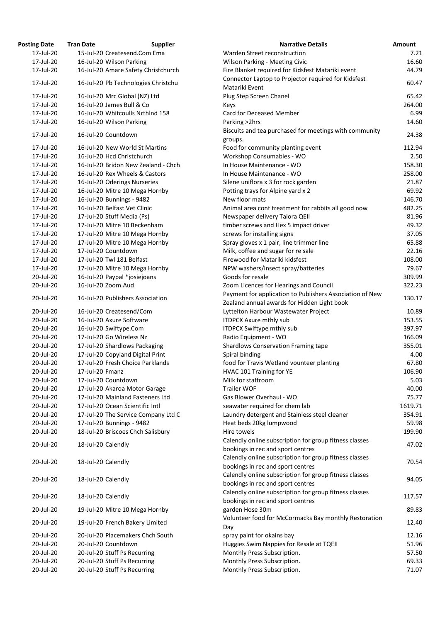| <b>Posting Date</b> | <b>Tran Date</b>                 | <b>Supplier</b>                     | <b>Narrative Details</b>                                                                                | <b>Amount</b> |
|---------------------|----------------------------------|-------------------------------------|---------------------------------------------------------------------------------------------------------|---------------|
| 17-Jul-20           | 15-Jul-20 Createsend.Com Ema     |                                     | Warden Street reconstruction                                                                            | 7.            |
| 17-Jul-20           | 16-Jul-20 Wilson Parking         |                                     | <b>Wilson Parking - Meeting Civic</b>                                                                   | 16.           |
| 17-Jul-20           |                                  | 16-Jul-20 Amare Safety Christchurch | Fire Blanket required for Kidsfest Matariki event                                                       | 44.           |
| 17-Jul-20           |                                  | 16-Jul-20 Pb Technologies Christchu | Connector Laptop to Projector required for Kidsfest<br>Matariki Event                                   | 60.           |
| 17-Jul-20           | 16-Jul-20 Mrc Global (NZ) Ltd    |                                     | Plug Step Screen Chanel                                                                                 | 65.           |
| 17-Jul-20           | 16-Jul-20 James Bull & Co        |                                     | Keys                                                                                                    | 264.          |
| 17-Jul-20           |                                  | 16-Jul-20 Whitcoulls Nrthlnd 158    | <b>Card for Deceased Member</b>                                                                         | 6.            |
| 17-Jul-20           | 16-Jul-20 Wilson Parking         |                                     | Parking > 2hrs                                                                                          | 14.           |
| 17-Jul-20           | 16-Jul-20 Countdown              |                                     | Biscuits and tea purchased for meetings with community<br>groups.                                       | 24.           |
| 17-Jul-20           | 16-Jul-20 New World St Martins   |                                     | Food for community planting event                                                                       | 112.          |
| 17-Jul-20           | 16-Jul-20 Hcd Christchurch       |                                     | Workshop Consumables - WO                                                                               | 2.            |
| 17-Jul-20           |                                  | 16-Jul-20 Bridon New Zealand - Chch | In House Maintenance - WO                                                                               | 158.          |
| 17-Jul-20           | 16-Jul-20 Rex Wheels & Castors   |                                     | In House Maintenance - WO                                                                               | 258.          |
| 17-Jul-20           | 16-Jul-20 Oderings Nurseries     |                                     | Silene uniflora x 3 for rock garden                                                                     | 21.           |
| 17-Jul-20           | 16-Jul-20 Mitre 10 Mega Hornby   |                                     | Potting trays for Alpine yard x 2                                                                       | 69.           |
| 17-Jul-20           | 16-Jul-20 Bunnings - 9482        |                                     | New floor mats                                                                                          | 146.          |
| 17-Jul-20           | 16-Jul-20 Belfast Vet Clinic     |                                     | Animal area cont treatment for rabbits all good now                                                     | 482.          |
| 17-Jul-20           | 17-Jul-20 Stuff Media (Ps)       |                                     | Newspaper delivery Taiora QEII                                                                          | 81.           |
| 17-Jul-20           | 17-Jul-20 Mitre 10 Beckenham     |                                     | timber screws and Hex 5 impact driver                                                                   | 49.           |
| 17-Jul-20           | 17-Jul-20 Mitre 10 Mega Hornby   |                                     | screws for installing signs                                                                             | 37.           |
| 17-Jul-20           | 17-Jul-20 Mitre 10 Mega Hornby   |                                     | Spray gloves x 1 pair, line trimmer line                                                                | 65.           |
| 17-Jul-20           | 17-Jul-20 Countdown              |                                     | Milk, coffee and sugar for re sale                                                                      | 22.           |
| 17-Jul-20           | 17-Jul-20 Twl 181 Belfast        |                                     | Firewood for Matariki kidsfest                                                                          | 108.          |
| 17-Jul-20           | 17-Jul-20 Mitre 10 Mega Hornby   |                                     | NPW washers/insect spray/batteries                                                                      | 79.           |
| 20-Jul-20           | 16-Jul-20 Paypal *josiejoans     |                                     | Goods for resale                                                                                        | 309.          |
| 20-Jul-20           | 16-Jul-20 Zoom.Aud               |                                     | Zoom Licences for Hearings and Council                                                                  | 322.          |
| 20-Jul-20           | 16-Jul-20 Publishers Association |                                     | Payment for application to Publishers Association of New<br>Zealand annual awards for Hidden Light book | 130.          |
| 20-Jul-20           | 16-Jul-20 Createsend/Com         |                                     | Lyttelton Harbour Wastewater Project                                                                    | 10.           |
| 20-Jul-20           | 16-Jul-20 Axure Software         |                                     | <b>ITDPCX Axure mthly sub</b>                                                                           | 153.          |
| 20-Jul-20           | 16-Jul-20 Swiftype.Com           |                                     | <b>ITDPCX Swiftype mthly sub</b>                                                                        | 397.          |
| 20-Jul-20           | 17-Jul-20 Go Wireless Nz         |                                     | Radio Equipment - WO                                                                                    | 166.          |
| 20-Jul-20           | 17-Jul-20 Shardlows Packaging    |                                     | <b>Shardlows Conservation Framing tape</b>                                                              | 355.          |
| 20-Jul-20           | 17-Jul-20 Copyland Digital Print |                                     | Spiral binding                                                                                          | 4.            |
| 20-Jul-20           |                                  | 17-Jul-20 Fresh Choice Parklands    | food for Travis Wetland vounteer planting                                                               | 67.           |
| 20-Jul-20           | 17-Jul-20 Fmanz                  |                                     | HVAC 101 Training for YE                                                                                | 106.          |
| 20-Jul-20           | 17-Jul-20 Countdown              |                                     | Milk for staffroom                                                                                      | 5.            |
| 20-Jul-20           | 17-Jul-20 Akaroa Motor Garage    |                                     | <b>Trailer WOF</b>                                                                                      | 40.           |
| 20-Jul-20           |                                  | 17-Jul-20 Mainland Fasteners Ltd    | Gas Blower Overhaul - WO                                                                                | 75.           |
| 20-Jul-20           | 17-Jul-20 Ocean Scientific Intl  |                                     | seawater required for chem lab                                                                          | 1619.         |
| 20-Jul-20           |                                  | 17-Jul-20 The Service Company Ltd C | Laundry detergent and Stainless steel cleaner                                                           | 354.          |
| 20-Jul-20           | 17-Jul-20 Bunnings - 9482        |                                     | Heat beds 20kg lumpwood                                                                                 | 59.           |
| 20-Jul-20           |                                  | 18-Jul-20 Briscoes Chch Salisbury   | Hire towels                                                                                             | 199.          |
| 20-Jul-20           | 18-Jul-20 Calendly               |                                     | Calendly online subscription for group fitness classes<br>bookings in rec and sport centres             | 47.           |
| 20-Jul-20           | 18-Jul-20 Calendly               |                                     | Calendly online subscription for group fitness classes<br>bookings in rec and sport centres             | 70.           |
| 20-Jul-20           | 18-Jul-20 Calendly               |                                     | Calendly online subscription for group fitness classes<br>bookings in rec and sport centres             | 94.           |
| 20-Jul-20           | 18-Jul-20 Calendly               |                                     | Calendly online subscription for group fitness classes<br>bookings in rec and sport centres             | 117.          |
| 20-Jul-20           | 19-Jul-20 Mitre 10 Mega Hornby   |                                     | garden Hose 30m                                                                                         | 89.           |
| 20-Jul-20           | 19-Jul-20 French Bakery Limited  |                                     | Volunteer food for McCormacks Bay monthly Restoration<br>Day                                            | 12.           |
| 20-Jul-20           |                                  | 20-Jul-20 Placemakers Chch South    | spray paint for okains bay                                                                              | 12.           |
| 20-Jul-20           | 20-Jul-20 Countdown              |                                     | Huggies Swim Nappies for Resale at TQEII                                                                | 51.           |
| 20-Jul-20           | 20-Jul-20 Stuff Ps Recurring     |                                     | Monthly Press Subscription.                                                                             | 57.           |
| 20-Jul-20           | 20-Jul-20 Stuff Ps Recurring     |                                     | Monthly Press Subscription.                                                                             | 69.           |
| 20-Jul-20           | 20-Jul-20 Stuff Ps Recurring     |                                     | Monthly Press Subscription.                                                                             | 71.           |
|                     |                                  |                                     |                                                                                                         |               |

| ιιχ υαιε  | Hall Date<br><b>Supplier</b>        | <b>Natique Details</b>                                   | <b>AIIIUUIIL</b> |
|-----------|-------------------------------------|----------------------------------------------------------|------------------|
| 17-Jul-20 | 15-Jul-20 Createsend.Com Ema        | Warden Street reconstruction                             | 7.21             |
| 17-Jul-20 | 16-Jul-20 Wilson Parking            | <b>Wilson Parking - Meeting Civic</b>                    | 16.60            |
| 17-Jul-20 | 16-Jul-20 Amare Safety Christchurch | Fire Blanket required for Kidsfest Matariki event        | 44.79            |
| 17-Jul-20 | 16-Jul-20 Pb Technologies Christchu | Connector Laptop to Projector required for Kidsfest      | 60.47            |
|           |                                     | Matariki Event                                           |                  |
| 17-Jul-20 | 16-Jul-20 Mrc Global (NZ) Ltd       | Plug Step Screen Chanel                                  | 65.42            |
| 17-Jul-20 | 16-Jul-20 James Bull & Co           | Keys                                                     | 264.00           |
| 17-Jul-20 | 16-Jul-20 Whitcoulls Nrthlnd 158    | <b>Card for Deceased Member</b>                          | 6.99             |
| 17-Jul-20 | 16-Jul-20 Wilson Parking            | Parking > 2hrs                                           | 14.60            |
|           |                                     | Biscuits and tea purchased for meetings with community   |                  |
| 17-Jul-20 | 16-Jul-20 Countdown                 | groups.                                                  | 24.38            |
| 17-Jul-20 | 16-Jul-20 New World St Martins      | Food for community planting event                        | 112.94           |
| 17-Jul-20 | 16-Jul-20 Hcd Christchurch          | Workshop Consumables - WO                                | 2.50             |
| 17-Jul-20 | 16-Jul-20 Bridon New Zealand - Chch | In House Maintenance - WO                                | 158.30           |
| 17-Jul-20 | 16-Jul-20 Rex Wheels & Castors      | In House Maintenance - WO                                | 258.00           |
| 17-Jul-20 | 16-Jul-20 Oderings Nurseries        | Silene uniflora x 3 for rock garden                      | 21.87            |
| 17-Jul-20 | 16-Jul-20 Mitre 10 Mega Hornby      | Potting trays for Alpine yard x 2                        | 69.92            |
| 17-Jul-20 | 16-Jul-20 Bunnings - 9482           | New floor mats                                           | 146.70           |
| 17-Jul-20 | 16-Jul-20 Belfast Vet Clinic        | Animal area cont treatment for rabbits all good now      | 482.25           |
| 17-Jul-20 | 17-Jul-20 Stuff Media (Ps)          | Newspaper delivery Taiora QEII                           | 81.96            |
| 17-Jul-20 | 17-Jul-20 Mitre 10 Beckenham        | timber screws and Hex 5 impact driver                    | 49.32            |
| 17-Jul-20 | 17-Jul-20 Mitre 10 Mega Hornby      | screws for installing signs                              | 37.05            |
| 17-Jul-20 | 17-Jul-20 Mitre 10 Mega Hornby      | Spray gloves x 1 pair, line trimmer line                 | 65.88            |
| 17-Jul-20 | 17-Jul-20 Countdown                 | Milk, coffee and sugar for re sale                       | 22.16            |
| 17-Jul-20 | 17-Jul-20 Twl 181 Belfast           | Firewood for Matariki kidsfest                           | 108.00           |
| 17-Jul-20 | 17-Jul-20 Mitre 10 Mega Hornby      | NPW washers/insect spray/batteries                       | 79.67            |
| 20-Jul-20 | 16-Jul-20 Paypal *josiejoans        | Goods for resale                                         | 309.99           |
| 20-Jul-20 | 16-Jul-20 Zoom.Aud                  | Zoom Licences for Hearings and Council                   | 322.23           |
|           |                                     | Payment for application to Publishers Association of New |                  |
| 20-Jul-20 | 16-Jul-20 Publishers Association    | Zealand annual awards for Hidden Light book              | 130.17           |
| 20-Jul-20 | 16-Jul-20 Createsend/Com            | Lyttelton Harbour Wastewater Project                     | 10.89            |
| 20-Jul-20 | 16-Jul-20 Axure Software            | <b>ITDPCX Axure mthly sub</b>                            | 153.55           |
| 20-Jul-20 | 16-Jul-20 Swiftype.Com              | <b>ITDPCX Swiftype mthly sub</b>                         | 397.97           |
| 20-Jul-20 | 17-Jul-20 Go Wireless Nz            | Radio Equipment - WO                                     | 166.09           |
| 20-Jul-20 | 17-Jul-20 Shardlows Packaging       | <b>Shardlows Conservation Framing tape</b>               | 355.01           |
| 20-Jul-20 | 17-Jul-20 Copyland Digital Print    | Spiral binding                                           | 4.00             |
| 20-Jul-20 | 17-Jul-20 Fresh Choice Parklands    | food for Travis Wetland vounteer planting                | 67.80            |
| 20-Jul-20 | 17-Jul-20 Fmanz                     | HVAC 101 Training for YE                                 | 106.90           |
| 20-Jul-20 | 17-Jul-20 Countdown                 | Milk for staffroom                                       | 5.03             |
| 20-Jul-20 | 17-Jul-20 Akaroa Motor Garage       | <b>Trailer WOF</b>                                       | 40.00            |
| 20-Jul-20 | 17-Jul-20 Mainland Fasteners Ltd    | Gas Blower Overhaul - WO                                 | 75.77            |
| 20-Jul-20 | 17-Jul-20 Ocean Scientific Intl     | seawater required for chem lab                           | 1619.71          |
| 20-Jul-20 | 17-Jul-20 The Service Company Ltd C | Laundry detergent and Stainless steel cleaner            | 354.91           |
| 20-Jul-20 | 17-Jul-20 Bunnings - 9482           | Heat beds 20kg lumpwood                                  | 59.98            |
| 20-Jul-20 | 18-Jul-20 Briscoes Chch Salisbury   | Hire towels                                              | 199.90           |
|           |                                     | Calendly online subscription for group fitness classes   |                  |
| 20-Jul-20 | 18-Jul-20 Calendly                  | bookings in rec and sport centres                        | 47.02            |
|           |                                     | Calendly online subscription for group fitness classes   |                  |
| 20-Jul-20 | 18-Jul-20 Calendly                  | bookings in rec and sport centres                        | 70.54            |
|           |                                     |                                                          |                  |
| 20-Jul-20 | 18-Jul-20 Calendly                  | Calendly online subscription for group fitness classes   | 94.05            |
|           |                                     | bookings in rec and sport centres                        |                  |
| 20-Jul-20 | 18-Jul-20 Calendly                  | Calendly online subscription for group fitness classes   | 117.57           |
|           |                                     | bookings in rec and sport centres                        |                  |
| 20-Jul-20 | 19-Jul-20 Mitre 10 Mega Hornby      | garden Hose 30m                                          | 89.83            |
| 20-Jul-20 | 19-Jul-20 French Bakery Limited     | Volunteer food for McCormacks Bay monthly Restoration    | 12.40            |
|           |                                     | Day                                                      |                  |
| 20-Jul-20 | 20-Jul-20 Placemakers Chch South    | spray paint for okains bay                               | 12.16            |
| 20-Jul-20 | 20-Jul-20 Countdown                 | Huggies Swim Nappies for Resale at TQEII                 | 51.96            |
| 20-Jul-20 | 20-Jul-20 Stuff Ps Recurring        | Monthly Press Subscription.                              | 57.50            |
| 20-Jul-20 | 20-Jul-20 Stuff Ps Recurring        | Monthly Press Subscription.                              | 69.33            |
| 20-Jul-20 | 20-Jul-20 Stuff Ps Recurring        | Monthly Press Subscription.                              | 71.07            |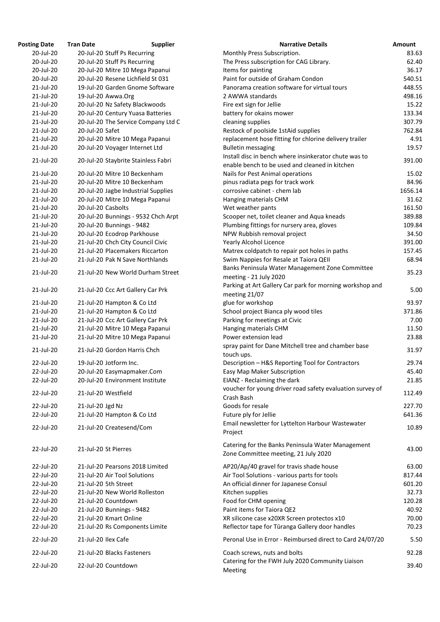| Posting Date | <b>Tran Date</b><br><b>Supplier</b> | <b>Narrative Details</b>                                                                                |
|--------------|-------------------------------------|---------------------------------------------------------------------------------------------------------|
| 20-Jul-20    | 20-Jul-20 Stuff Ps Recurring        | Monthly Press Subscription.                                                                             |
| 20-Jul-20    | 20-Jul-20 Stuff Ps Recurring        | The Press subscription for CAG Library.                                                                 |
| 20-Jul-20    | 20-Jul-20 Mitre 10 Mega Papanui     | Items for painting                                                                                      |
| 20-Jul-20    | 20-Jul-20 Resene Lichfield St 031   | Paint for outside of Graham Condon                                                                      |
| 21-Jul-20    | 19-Jul-20 Garden Gnome Software     | Panorama creation software for virtual tours                                                            |
| 21-Jul-20    | 19-Jul-20 Awwa.Org                  | 2 AWWA standards                                                                                        |
| 21-Jul-20    | 20-Jul-20 Nz Safety Blackwoods      | Fire ext sign for Jellie                                                                                |
| 21-Jul-20    | 20-Jul-20 Century Yuasa Batteries   | battery for okains mower                                                                                |
| 21-Jul-20    | 20-Jul-20 The Service Company Ltd C | cleaning supplies                                                                                       |
| 21-Jul-20    | 20-Jul-20 Safet                     | Restock of poolside 1stAid supplies                                                                     |
| 21-Jul-20    | 20-Jul-20 Mitre 10 Mega Papanui     | replacement hose fitting for chlorine delivery trailer                                                  |
| 21-Jul-20    | 20-Jul-20 Voyager Internet Ltd      | <b>Bulletin messaging</b>                                                                               |
| 21-Jul-20    | 20-Jul-20 Staybrite Stainless Fabri | Install disc in bench where insinkerator chute was to<br>enable bench to be used and cleaned in kitchen |
| 21-Jul-20    | 20-Jul-20 Mitre 10 Beckenham        | Nails for Pest Animal operations                                                                        |
| 21-Jul-20    | 20-Jul-20 Mitre 10 Beckenham        | pinus radiata pegs for track work                                                                       |
| 21-Jul-20    | 20-Jul-20 Jagbe Industrial Supplies | corrosive cabinet - chem lab                                                                            |
| 21-Jul-20    | 20-Jul-20 Mitre 10 Mega Papanui     | Hanging materials CHM                                                                                   |
| 21-Jul-20    | 20-Jul-20 Casbolts                  | Wet weather pants                                                                                       |
| 21-Jul-20    | 20-Jul-20 Bunnings - 9532 Chch Arpt | Scooper net, toilet cleaner and Aqua kneads                                                             |
| 21-Jul-20    | 20-Jul-20 Bunnings - 9482           | Plumbing fittings for nursery area, gloves                                                              |
| 21-Jul-20    | 20-Jul-20 Ecodrop Parkhouse         | NPW Rubbish removal project                                                                             |
| 21-Jul-20    | 21-Jul-20 Chch City Council Civic   | <b>Yearly Alcohol Licence</b>                                                                           |
| 21-Jul-20    | 21-Jul-20 Placemakers Riccarton     | Matrex coldpatch to repair pot holes in paths                                                           |
| 21-Jul-20    | 21-Jul-20 Pak N Save Northlands     | Swim Nappies for Resale at Taiora QEII                                                                  |
| 21-Jul-20    | 21-Jul-20 New World Durham Street   | Banks Peninsula Water Management Zone Committee<br>meeting - 21 July 2020                               |
| 21-Jul-20    | 21-Jul-20 Ccc Art Gallery Car Prk   | Parking at Art Gallery Car park for morning workshop and<br>meeting 21/07                               |
| 21-Jul-20    | 21-Jul-20 Hampton & Co Ltd          | glue for workshop                                                                                       |
| 21-Jul-20    | 21-Jul-20 Hampton & Co Ltd          | School project Bianca ply wood tiles                                                                    |
| 21-Jul-20    | 21-Jul-20 Ccc Art Gallery Car Prk   | Parking for meetings at Civic                                                                           |
| 21-Jul-20    | 21-Jul-20 Mitre 10 Mega Papanui     | Hanging materials CHM                                                                                   |
| 21-Jul-20    | 21-Jul-20 Mitre 10 Mega Papanui     | Power extension lead                                                                                    |
| 21-Jul-20    | 21-Jul-20 Gordon Harris Chch        | spray paint for Dane Mitchell tree and chamber base<br>touch ups.                                       |
| 22-Jul-20    | 19-Jul-20 Jotform Inc.              | Description - H&S Reporting Tool for Contractors                                                        |
| 22-Jul-20    | 20-Jul-20 Easymapmaker.Com          | Easy Map Maker Subscription                                                                             |
| 22-Jul-20    | 20-Jul-20 Environment Institute     | EIANZ - Reclaiming the dark                                                                             |
| 22-Jul-20    | 21-Jul-20 Westfield                 | voucher for young driver road safety evaluation survey of<br>Crash Bash                                 |
| 22-Jul-20    | 21-Jul-20 Jgd Nz                    | Goods for resale                                                                                        |
|              |                                     |                                                                                                         |
| 22-Jul-20    | 21-Jul-20 Hampton & Co Ltd          | Future ply for Jellie                                                                                   |
| 22-Jul-20    | 21-Jul-20 Createsend/Com            | Email newsletter for Lyttelton Harbour Wastewater<br>Project                                            |
| 22-Jul-20    | 21-Jul-20 St Pierres                | Catering for the Banks Peninsula Water Management<br>Zone Committee meeting, 21 July 2020               |
| 22-Jul-20    | 21-Jul-20 Pearsons 2018 Limited     | AP20/Ap/40 gravel for travis shade house                                                                |
| 22-Jul-20    | 21-Jul-20 Air Tool Solutions        | Air Tool Solutions - various parts for tools                                                            |
| 22-Jul-20    | 21-Jul-20 5th Street                | An official dinner for Japanese Consul                                                                  |
| 22-Jul-20    | 21-Jul-20 New World Rolleston       | Kitchen supplies                                                                                        |
| 22-Jul-20    | 21-Jul-20 Countdown                 | Food for CHM opening                                                                                    |
| 22-Jul-20    | 21-Jul-20 Bunnings - 9482           | Paint items for Taiora QE2                                                                              |
| 22-Jul-20    | 21-Jul-20 Kmart Online              | XR silicone case x20XR Screen protectos x10                                                             |
| 22-Jul-20    | 21-Jul-20 Rs Components Limite      | Reflector tape for Tūranga Gallery door handles                                                         |
| 22-Jul-20    | 21-Jul-20 Ilex Cafe                 | Peronal Use in Error - Reimbursed direct to Card 24/07/20                                               |
| 22-Jul-20    | 21-Jul-20 Blacks Fasteners          | Coach screws, nuts and bolts                                                                            |
| 22-Jul-20    | 22-Jul-20 Countdown                 | Catering for the FWH July 2020 Community Liaison                                                        |

| <b>Posting Date</b> | <b>Tran Date</b>     | <b>Supplier</b>                     | <b>Narrative Details</b>                                                                                | <b>Amount</b> |
|---------------------|----------------------|-------------------------------------|---------------------------------------------------------------------------------------------------------|---------------|
| 20-Jul-20           |                      | 20-Jul-20 Stuff Ps Recurring        | Monthly Press Subscription.                                                                             | 83.63         |
| 20-Jul-20           |                      | 20-Jul-20 Stuff Ps Recurring        | The Press subscription for CAG Library.                                                                 | 62.40         |
| 20-Jul-20           |                      | 20-Jul-20 Mitre 10 Mega Papanui     | Items for painting                                                                                      | 36.17         |
| 20-Jul-20           |                      | 20-Jul-20 Resene Lichfield St 031   | Paint for outside of Graham Condon                                                                      | 540.51        |
| 21-Jul-20           |                      | 19-Jul-20 Garden Gnome Software     | Panorama creation software for virtual tours                                                            | 448.55        |
| 21-Jul-20           | 19-Jul-20 Awwa.Org   |                                     | 2 AWWA standards                                                                                        | 498.16        |
| 21-Jul-20           |                      | 20-Jul-20 Nz Safety Blackwoods      | Fire ext sign for Jellie                                                                                | 15.22         |
| 21-Jul-20           |                      | 20-Jul-20 Century Yuasa Batteries   | battery for okains mower                                                                                | 133.34        |
| 21-Jul-20           |                      | 20-Jul-20 The Service Company Ltd C | cleaning supplies                                                                                       | 307.79        |
| 21-Jul-20           | 20-Jul-20 Safet      |                                     | Restock of poolside 1stAid supplies                                                                     | 762.84        |
| 21-Jul-20           |                      | 20-Jul-20 Mitre 10 Mega Papanui     | replacement hose fitting for chlorine delivery trailer                                                  | 4.91          |
| 21-Jul-20           |                      | 20-Jul-20 Voyager Internet Ltd      | <b>Bulletin messaging</b>                                                                               | 19.57         |
| 21-Jul-20           |                      | 20-Jul-20 Staybrite Stainless Fabri | Install disc in bench where insinkerator chute was to<br>enable bench to be used and cleaned in kitchen | 391.00        |
| 21-Jul-20           |                      | 20-Jul-20 Mitre 10 Beckenham        | Nails for Pest Animal operations                                                                        | 15.02         |
| 21-Jul-20           |                      | 20-Jul-20 Mitre 10 Beckenham        | pinus radiata pegs for track work                                                                       | 84.96         |
| 21-Jul-20           |                      | 20-Jul-20 Jagbe Industrial Supplies | corrosive cabinet - chem lab                                                                            | 1656.14       |
| 21-Jul-20           |                      | 20-Jul-20 Mitre 10 Mega Papanui     | Hanging materials CHM                                                                                   | 31.62         |
| 21-Jul-20           | 20-Jul-20 Casbolts   |                                     | Wet weather pants                                                                                       | 161.50        |
| 21-Jul-20           |                      | 20-Jul-20 Bunnings - 9532 Chch Arpt | Scooper net, toilet cleaner and Aqua kneads                                                             | 389.88        |
| 21-Jul-20           |                      | 20-Jul-20 Bunnings - 9482           | Plumbing fittings for nursery area, gloves                                                              | 109.84        |
| 21-Jul-20           |                      | 20-Jul-20 Ecodrop Parkhouse         | NPW Rubbish removal project                                                                             | 34.50         |
| 21-Jul-20           |                      | 21-Jul-20 Chch City Council Civic   | <b>Yearly Alcohol Licence</b>                                                                           | 391.00        |
| 21-Jul-20           |                      | 21-Jul-20 Placemakers Riccarton     |                                                                                                         | 157.45        |
|                     |                      |                                     | Matrex coldpatch to repair pot holes in paths                                                           |               |
| 21-Jul-20           |                      | 21-Jul-20 Pak N Save Northlands     | Swim Nappies for Resale at Taiora QEII                                                                  | 68.94         |
| 21-Jul-20           |                      | 21-Jul-20 New World Durham Street   | Banks Peninsula Water Management Zone Committee<br>meeting - 21 July 2020                               | 35.23         |
| 21-Jul-20           |                      | 21-Jul-20 Ccc Art Gallery Car Prk   | Parking at Art Gallery Car park for morning workshop and<br>meeting 21/07                               | 5.00          |
| 21-Jul-20           |                      | 21-Jul-20 Hampton & Co Ltd          | glue for workshop                                                                                       | 93.97         |
| 21-Jul-20           |                      | 21-Jul-20 Hampton & Co Ltd          | School project Bianca ply wood tiles                                                                    | 371.86        |
| 21-Jul-20           |                      | 21-Jul-20 Ccc Art Gallery Car Prk   | Parking for meetings at Civic                                                                           | 7.00          |
| 21-Jul-20           |                      | 21-Jul-20 Mitre 10 Mega Papanui     | Hanging materials CHM                                                                                   | 11.50         |
| 21-Jul-20           |                      | 21-Jul-20 Mitre 10 Mega Papanui     | Power extension lead                                                                                    | 23.88         |
| 21-Jul-20           |                      | 21-Jul-20 Gordon Harris Chch        | spray paint for Dane Mitchell tree and chamber base<br>touch ups.                                       | 31.97         |
| 22-Jul-20           |                      | 19-Jul-20 Jotform Inc.              | Description - H&S Reporting Tool for Contractors                                                        | 29.74         |
| 22-Jul-20           |                      | 20-Jul-20 Easymapmaker.Com          | Easy Map Maker Subscription                                                                             | 45.40         |
| 22-Jul-20           |                      | 20-Jul-20 Environment Institute     | EIANZ - Reclaiming the dark                                                                             | 21.85         |
| 22-Jul-20           | 21-Jul-20 Westfield  |                                     | voucher for young driver road safety evaluation survey of<br>Crash Bash                                 | 112.49        |
| 22-Jul-20           |                      |                                     | Goods for resale                                                                                        | 227.70        |
|                     | 21-Jul-20 Jgd Nz     |                                     |                                                                                                         |               |
| 22-Jul-20           |                      | 21-Jul-20 Hampton & Co Ltd          | Future ply for Jellie                                                                                   | 641.36        |
| 22-Jul-20           |                      | 21-Jul-20 Createsend/Com            | Email newsletter for Lyttelton Harbour Wastewater<br>Project                                            | 10.89         |
| 22-Jul-20           | 21-Jul-20 St Pierres |                                     | Catering for the Banks Peninsula Water Management<br>Zone Committee meeting, 21 July 2020               | 43.00         |
| 22-Jul-20           |                      | 21-Jul-20 Pearsons 2018 Limited     | AP20/Ap/40 gravel for travis shade house                                                                | 63.00         |
| 22-Jul-20           |                      | 21-Jul-20 Air Tool Solutions        | Air Tool Solutions - various parts for tools                                                            | 817.44        |
| 22-Jul-20           | 21-Jul-20 5th Street |                                     | An official dinner for Japanese Consul                                                                  | 601.20        |
| 22-Jul-20           |                      | 21-Jul-20 New World Rolleston       | Kitchen supplies                                                                                        | 32.73         |
| 22-Jul-20           |                      | 21-Jul-20 Countdown                 | Food for CHM opening                                                                                    | 120.28        |
| 22-Jul-20           |                      | 21-Jul-20 Bunnings - 9482           | Paint items for Taiora QE2                                                                              | 40.92         |
| 22-Jul-20           |                      | 21-Jul-20 Kmart Online              | XR silicone case x20XR Screen protectos x10                                                             | 70.00         |
| 22-Jul-20           |                      | 21-Jul-20 Rs Components Limite      | Reflector tape for Tūranga Gallery door handles                                                         | 70.23         |
| 22-Jul-20           | 21-Jul-20 Ilex Cafe  |                                     | Peronal Use in Error - Reimbursed direct to Card 24/07/20                                               | 5.50          |
| 22-Jul-20           |                      | 21-Jul-20 Blacks Fasteners          | Coach screws, nuts and bolts                                                                            | 92.28         |
| 22-Jul-20           |                      | 22-Jul-20 Countdown                 | Catering for the FWH July 2020 Community Liaison<br>Meeting                                             | 39.40         |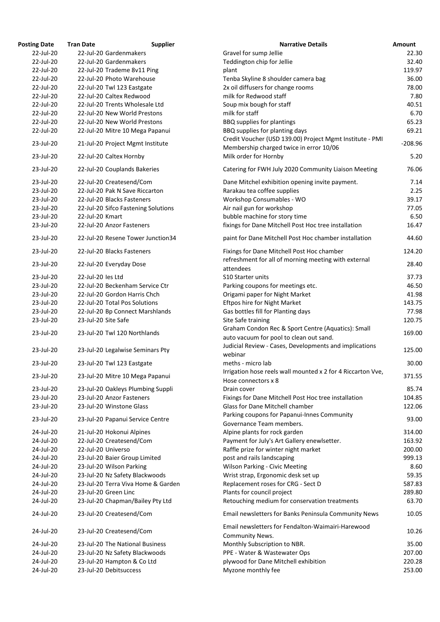| <b>Posting Date</b> | <b>Tran Date</b>           | <b>Supplier</b>                     | <b>Narrative Details</b>                                         | Amount    |
|---------------------|----------------------------|-------------------------------------|------------------------------------------------------------------|-----------|
| 22-Jul-20           | 22-Jul-20 Gardenmakers     |                                     | Gravel for sump Jellie                                           | 22.30     |
| 22-Jul-20           | 22-Jul-20 Gardenmakers     |                                     | Teddington chip for Jellie                                       | 32.40     |
| 22-Jul-20           |                            | 22-Jul-20 Trademe 8v11 Ping         | plant                                                            | 119.97    |
| 22-Jul-20           | 22-Jul-20 Photo Warehouse  |                                     | Tenba Skyline 8 shoulder camera bag                              | 36.00     |
| 22-Jul-20           | 22-Jul-20 Twl 123 Eastgate |                                     | 2x oil diffusers for change rooms                                | 78.00     |
| 22-Jul-20           | 22-Jul-20 Caltex Redwood   |                                     | milk for Redwood staff                                           | 7.80      |
| 22-Jul-20           |                            | 22-Jul-20 Trents Wholesale Ltd      | Soup mix bough for staff                                         | 40.51     |
| 22-Jul-20           |                            | 22-Jul-20 New World Prestons        | milk for staff                                                   | 6.70      |
| 22-Jul-20           |                            | 22-Jul-20 New World Prestons        | <b>BBQ</b> supplies for plantings                                | 65.23     |
| 22-Jul-20           |                            | 22-Jul-20 Mitre 10 Mega Papanui     | BBQ supplies for planting days                                   | 69.21     |
|                     |                            |                                     | Credit Voucher (USD 139.00) Project Mgmt Institute - PMI         |           |
| 23-Jul-20           |                            | 21-Jul-20 Project Mgmt Institute    | Membership charged twice in error 10/06                          | $-208.96$ |
| 23-Jul-20           | 22-Jul-20 Caltex Hornby    |                                     | Milk order for Hornby                                            | 5.20      |
|                     |                            |                                     |                                                                  |           |
| 23-Jul-20           |                            | 22-Jul-20 Couplands Bakeries        | Catering for FWH July 2020 Community Liaison Meeting             | 76.06     |
| 23-Jul-20           | 22-Jul-20 Createsend/Com   |                                     | Dane Mitchel exhibition opening invite payment.                  | 7.14      |
| 23-Jul-20           |                            | 22-Jul-20 Pak N Save Riccarton      | Rarakau tea coffee supplies                                      | 2.25      |
| 23-Jul-20           | 22-Jul-20 Blacks Fasteners |                                     | Workshop Consumables - WO                                        | 39.17     |
| 23-Jul-20           |                            | 22-Jul-20 Sifco Fastening Solutions | Air nail gun for workshop                                        | 77.05     |
| 23-Jul-20           | 22-Jul-20 Kmart            |                                     | bubble machine for story time                                    | 6.50      |
| 23-Jul-20           | 22-Jul-20 Anzor Fasteners  |                                     | fixings for Dane Mitchell Post Hoc tree installation             | 16.47     |
| 23-Jul-20           |                            | 22-Jul-20 Resene Tower Junction34   | paint for Dane Mitchell Post Hoc chamber installation            | 44.60     |
|                     |                            |                                     |                                                                  |           |
| 23-Jul-20           | 22-Jul-20 Blacks Fasteners |                                     | Fixings for Dane Mitchell Post Hoc chamber                       | 124.20    |
| 23-Jul-20           | 22-Jul-20 Everyday Dose    |                                     | refreshment for all of morning meeting with external             | 28.40     |
|                     |                            |                                     | attendees                                                        |           |
| 23-Jul-20           | 22-Jul-20 les Ltd          |                                     | S10 Starter units                                                | 37.73     |
| 23-Jul-20           |                            | 22-Jul-20 Beckenham Service Ctr     | Parking coupons for meetings etc.                                | 46.50     |
| 23-Jul-20           |                            | 22-Jul-20 Gordon Harris Chch        | Origami paper for Night Market                                   | 41.98     |
| 23-Jul-20           |                            | 22-Jul-20 Total Pos Solutions       | <b>Eftpos hire for Night Market</b>                              | 143.75    |
| 23-Jul-20           |                            | 22-Jul-20 Bp Connect Marshlands     | Gas bottles fill for Planting days                               | 77.98     |
| 23-Jul-20           | 23-Jul-20 Site Safe        |                                     | Site Safe training                                               | 120.75    |
| 23-Jul-20           |                            | 23-Jul-20 Twl 120 Northlands        | Graham Condon Rec & Sport Centre (Aquatics): Small               | 169.00    |
|                     |                            |                                     | auto vacuum for pool to clean out sand.                          |           |
| 23-Jul-20           |                            | 23-Jul-20 Legalwise Seminars Pty    | Judicial Review - Cases, Developments and implications           | 125.00    |
|                     |                            |                                     | webinar                                                          |           |
| 23-Jul-20           | 23-Jul-20 Twl 123 Eastgate |                                     | meths - micro lab                                                | 30.00     |
| 23-Jul-20           |                            |                                     | Irrigation hose reels wall mounted x 2 for 4 Riccarton Vve,      |           |
|                     |                            | 23-Jul-20 Mitre 10 Mega Papanui     | Hose connectors x 8                                              | 371.55    |
| 23-Jul-20           |                            | 23-Jul-20 Oakleys Plumbing Suppli   | Drain cover                                                      | 85.74     |
| 23-Jul-20           | 23-Jul-20 Anzor Fasteners  |                                     | Fixings for Dane Mitchell Post Hoc tree installation             | 104.85    |
| 23-Jul-20           | 23-Jul-20 Winstone Glass   |                                     | <b>Glass for Dane Mitchell chamber</b>                           | 122.06    |
|                     |                            |                                     | Parking coupons for Papanui-Innes Community                      |           |
| 23-Jul-20           |                            | 23-Jul-20 Papanui Service Centre    | Governance Team members.                                         | 93.00     |
| 24-Jul-20           | 21-Jul-20 Hokonui Alpines  |                                     | Alpine plants for rock garden                                    | 314.00    |
| 24-Jul-20           | 22-Jul-20 Createsend/Com   |                                     | Payment for July's Art Gallery enewlsetter.                      | 163.92    |
| 24-Jul-20           | 22-Jul-20 Universo         |                                     | Raffle prize for winter night market                             | 200.00    |
| 24-Jul-20           |                            | 23-Jul-20 Baier Group Limited       | post and rails landscaping                                       | 999.13    |
| 24-Jul-20           | 23-Jul-20 Wilson Parking   |                                     | <b>Wilson Parking - Civic Meeting</b>                            | 8.60      |
| 24-Jul-20           |                            | 23-Jul-20 Nz Safety Blackwoods      | Wrist strap, Ergonomic desk set up                               | 59.35     |
| 24-Jul-20           |                            | 23-Jul-20 Terra Viva Home & Garden  |                                                                  | 587.83    |
|                     | 23-Jul-20 Green Linc       |                                     | Replacement roses for CRG - Sect D<br>Plants for council project |           |
| 24-Jul-20           |                            |                                     |                                                                  | 289.80    |
| 24-Jul-20           |                            | 23-Jul-20 Chapman/Bailey Pty Ltd    | Retouching medium for conservation treatments                    | 63.70     |
| 24-Jul-20           | 23-Jul-20 Createsend/Com   |                                     | Email newsletters for Banks Peninsula Community News             | 10.05     |
| 24-Jul-20           | 23-Jul-20 Createsend/Com   |                                     | Email newsletters for Fendalton-Waimairi-Harewood                | 10.26     |
| 24-Jul-20           |                            |                                     | Community News.                                                  |           |
|                     |                            | 23-Jul-20 The National Business     | Monthly Subscription to NBR.                                     | 35.00     |
| 24-Jul-20           |                            | 23-Jul-20 Nz Safety Blackwoods      | PPE - Water & Wastewater Ops                                     | 207.00    |
| 24-Jul-20           | 23-Jul-20 Hampton & Co Ltd |                                     | plywood for Dane Mitchell exhibition                             | 220.28    |
| 24-Jul-20           | 23-Jul-20 Debitsuccess     |                                     | Myzone monthly fee                                               | 253.00    |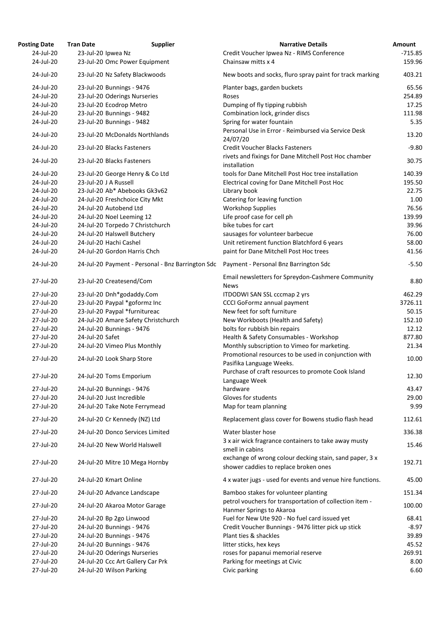| <b>Posting Date</b>    | <b>Tran Date</b>       | <b>Supplier</b>                                              | <b>Narrative Details</b>                                                                         | Amount           |
|------------------------|------------------------|--------------------------------------------------------------|--------------------------------------------------------------------------------------------------|------------------|
| 24-Jul-20              | 23-Jul-20 Ipwea Nz     |                                                              | Credit Voucher Ipwea Nz - RIMS Conference                                                        | $-715.85$        |
| 24-Jul-20              |                        | 23-Jul-20 Omc Power Equipment                                | Chainsaw mitts x 4                                                                               | 159.96           |
| 24-Jul-20              |                        | 23-Jul-20 Nz Safety Blackwoods                               | New boots and socks, fluro spray paint for track marking                                         | 403.21           |
| 24-Jul-20              |                        | 23-Jul-20 Bunnings - 9476                                    | Planter bags, garden buckets                                                                     | 65.56            |
| 24-Jul-20              |                        | 23-Jul-20 Oderings Nurseries                                 | Roses                                                                                            | 254.89           |
| 24-Jul-20              |                        | 23-Jul-20 Ecodrop Metro                                      | Dumping of fly tipping rubbish                                                                   | 17.25            |
| 24-Jul-20              |                        | 23-Jul-20 Bunnings - 9482                                    | Combination lock, grinder discs                                                                  | 111.98           |
| 24-Jul-20              |                        | 23-Jul-20 Bunnings - 9482                                    | Spring for water fountain                                                                        | 5.35             |
|                        |                        |                                                              | Personal Use in Error - Reimbursed via Service Desk                                              |                  |
| 24-Jul-20<br>24-Jul-20 |                        | 23-Jul-20 McDonalds Northlands<br>23-Jul-20 Blacks Fasteners | 24/07/20<br><b>Credit Voucher Blacks Fasteners</b>                                               | 13.20<br>$-9.80$ |
|                        |                        |                                                              | rivets and fixings for Dane Mitchell Post Hoc chamber                                            |                  |
| 24-Jul-20              |                        | 23-Jul-20 Blacks Fasteners                                   | installation                                                                                     | 30.75            |
| 24-Jul-20              |                        | 23-Jul-20 George Henry & Co Ltd                              | tools for Dane Mitchell Post Hoc tree installation                                               | 140.39           |
| 24-Jul-20              | 23-Jul-20 J A Russell  |                                                              | Electrical coving for Dane Mitchell Post Hoc                                                     | 195.50           |
| 24-Jul-20              |                        | 23-Jul-20 Ab* Abebooks Gk3v62                                | Library book                                                                                     | 22.75            |
| 24-Jul-20              |                        | 24-Jul-20 Freshchoice City Mkt                               | Catering for leaving function                                                                    | 1.00             |
| 24-Jul-20              |                        | 24-Jul-20 Autobend Ltd                                       | <b>Workshop Supplies</b>                                                                         | 76.56            |
| 24-Jul-20              |                        | 24-Jul-20 Noel Leeming 12                                    | Life proof case for cell ph                                                                      | 139.99           |
| 24-Jul-20              |                        | 24-Jul-20 Torpedo 7 Christchurch                             | bike tubes for cart                                                                              | 39.96            |
| 24-Jul-20              |                        | 24-Jul-20 Halswell Butchery                                  | sausages for volunteer barbecue                                                                  | 76.00            |
| 24-Jul-20              | 24-Jul-20 Hachi Cashel |                                                              | Unit retirement function Blatchford 6 years                                                      | 58.00            |
| 24-Jul-20              |                        | 24-Jul-20 Gordon Harris Chch                                 | paint for Dane Mitchell Post Hoc trees                                                           | 41.56            |
| 24-Jul-20              |                        | 24-Jul-20 Payment - Personal - Bnz Barrington Sdc            | Payment - Personal Bnz Barrington Sdc                                                            | $-5.50$          |
| 27-Jul-20              |                        | 23-Jul-20 Createsend/Com                                     | Email newsletters for Spreydon-Cashmere Community<br><b>News</b>                                 | 8.80             |
| 27-Jul-20              |                        | 23-Jul-20 Dnh*godaddy.Com                                    | ITDODWI SAN SSL cccmap 2 yrs                                                                     | 462.29           |
| 27-Jul-20              |                        | 23-Jul-20 Paypal *goformz Inc                                | <b>CCCI GoFormz annual payment</b>                                                               | 3726.11          |
| 27-Jul-20              |                        | 23-Jul-20 Paypal *furnitureac                                | New feet for soft furniture                                                                      | 50.15            |
| 27-Jul-20              |                        | 24-Jul-20 Amare Safety Christchurch                          | New Workboots (Health and Safety)                                                                | 152.10           |
| 27-Jul-20              |                        | 24-Jul-20 Bunnings - 9476                                    | bolts for rubbish bin repairs                                                                    | 12.12            |
| 27-Jul-20              | 24-Jul-20 Safet        |                                                              | Health & Safety Consumables - Workshop                                                           | 877.80           |
| 27-Jul-20              |                        | 24-Jul-20 Vimeo Plus Monthly                                 | Monthly subscription to Vimeo for marketing.                                                     | 21.34            |
| 27-Jul-20              |                        | 24-Jul-20 Look Sharp Store                                   | Promotional resources to be used in conjunction with<br>Pasifika Language Weeks.                 | 10.00            |
| 27-Jul-20              |                        | 24-Jul-20 Toms Emporium                                      | Purchase of craft resources to promote Cook Island<br>Language Week                              | 12.30            |
| 27-Jul-20              |                        | 24-Jul-20 Bunnings - 9476                                    | hardware                                                                                         | 43.47            |
| 27-Jul-20              |                        | 24-Jul-20 Just Incredible                                    | Gloves for students                                                                              | 29.00            |
| 27-Jul-20              |                        | 24-Jul-20 Take Note Ferrymead                                | Map for team planning                                                                            | 9.99             |
| 27-Jul-20              |                        | 24-Jul-20 Cr Kennedy (NZ) Ltd                                | Replacement glass cover for Bowens studio flash head                                             | 112.61           |
| 27-Jul-20              |                        | 24-Jul-20 Donco Services Limited                             | Water blaster hose                                                                               | 336.38           |
| 27-Jul-20              |                        | 24-Jul-20 New World Halswell                                 | 3 x air wick fragrance containers to take away musty<br>smell in cabins                          | 15.46            |
| 27-Jul-20              |                        | 24-Jul-20 Mitre 10 Mega Hornby                               | exchange of wrong colour decking stain, sand paper, 3 x<br>shower caddies to replace broken ones | 192.71           |
| 27-Jul-20              |                        | 24-Jul-20 Kmart Online                                       | 4 x water jugs - used for events and venue hire functions.                                       | 45.00            |
| 27-Jul-20              |                        | 24-Jul-20 Advance Landscape                                  | Bamboo stakes for volunteer planting                                                             | 151.34           |
| 27-Jul-20              |                        | 24-Jul-20 Akaroa Motor Garage                                | petrol vouchers for transportation of collection item -<br>Hanmer Springs to Akaroa              | 100.00           |
| 27-Jul-20              |                        | 24-Jul-20 Bp 2go Linwood                                     | Fuel for New Ute 920 - No fuel card issued yet                                                   | 68.41            |
| 27-Jul-20              |                        | 24-Jul-20 Bunnings - 9476                                    | Credit Voucher Bunnings - 9476 litter pick up stick                                              | $-8.97$          |
| 27-Jul-20              |                        | 24-Jul-20 Bunnings - 9476                                    | Plant ties & shackles                                                                            | 39.89            |
| 27-Jul-20              |                        | 24-Jul-20 Bunnings - 9476                                    | litter sticks, hex keys                                                                          | 45.52            |
| 27-Jul-20              |                        | 24-Jul-20 Oderings Nurseries                                 | roses for papanui memorial reserve                                                               | 269.91           |
| 27-Jul-20              |                        | 24-Jul-20 Ccc Art Gallery Car Prk                            | Parking for meetings at Civic                                                                    | 8.00             |
| 27-Jul-20              |                        | 24-Jul-20 Wilson Parking                                     | Civic parking                                                                                    | 6.60             |
|                        |                        |                                                              |                                                                                                  |                  |